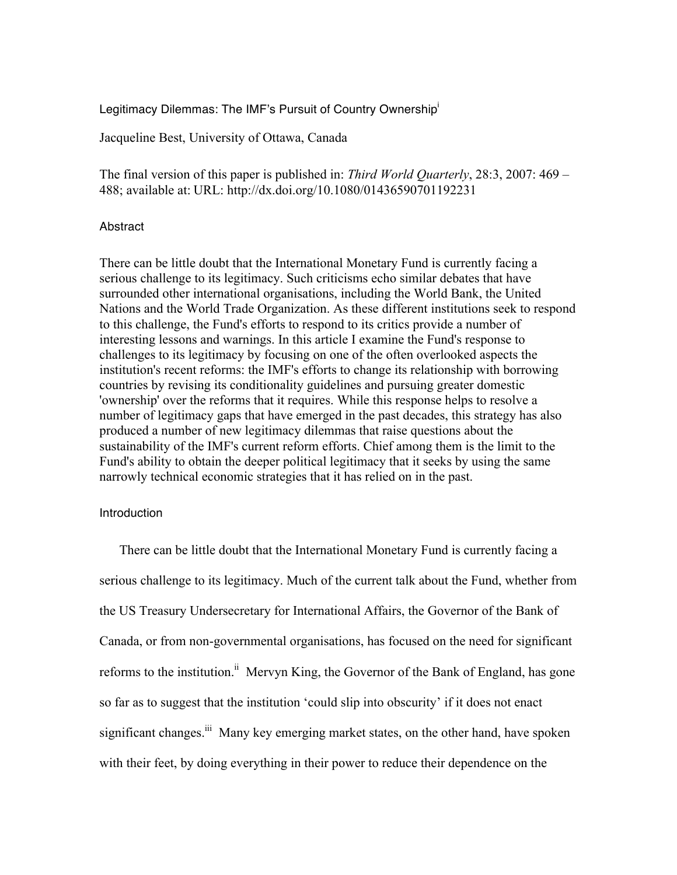Legitimacy Dilemmas: The IMF's Pursuit of Country Ownership<sup>i</sup>

Jacqueline Best, University of Ottawa, Canada

The final version of this paper is published in: *Third World Quarterly*, 28:3, 2007: 469 – 488; available at: URL: http://dx.doi.org/10.1080/01436590701192231

### Abstract

There can be little doubt that the International Monetary Fund is currently facing a serious challenge to its legitimacy. Such criticisms echo similar debates that have surrounded other international organisations, including the World Bank, the United Nations and the World Trade Organization. As these different institutions seek to respond to this challenge, the Fund's efforts to respond to its critics provide a number of interesting lessons and warnings. In this article I examine the Fund's response to challenges to its legitimacy by focusing on one of the often overlooked aspects the institution's recent reforms: the IMF's efforts to change its relationship with borrowing countries by revising its conditionality guidelines and pursuing greater domestic 'ownership' over the reforms that it requires. While this response helps to resolve a number of legitimacy gaps that have emerged in the past decades, this strategy has also produced a number of new legitimacy dilemmas that raise questions about the sustainability of the IMF's current reform efforts. Chief among them is the limit to the Fund's ability to obtain the deeper political legitimacy that it seeks by using the same narrowly technical economic strategies that it has relied on in the past.

### Introduction

There can be little doubt that the International Monetary Fund is currently facing a serious challenge to its legitimacy. Much of the current talk about the Fund, whether from the US Treasury Undersecretary for International Affairs, the Governor of the Bank of Canada, or from non-governmental organisations, has focused on the need for significant reforms to the institution.<sup>ii</sup> Mervyn King, the Governor of the Bank of England, has gone so far as to suggest that the institution 'could slip into obscurity' if it does not enact significant changes.<sup>iii</sup> Many key emerging market states, on the other hand, have spoken with their feet, by doing everything in their power to reduce their dependence on the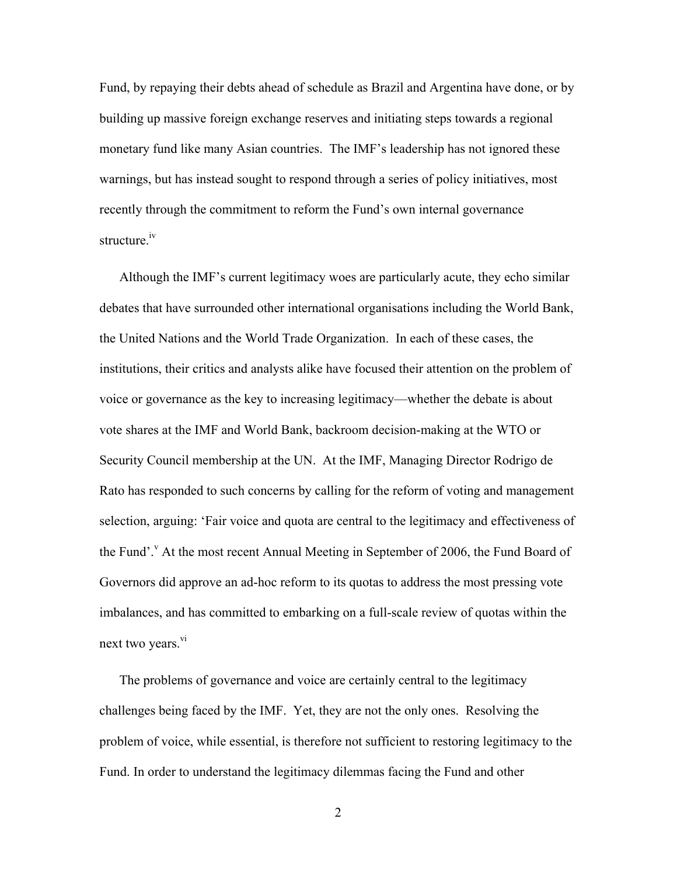Fund, by repaying their debts ahead of schedule as Brazil and Argentina have done, or by building up massive foreign exchange reserves and initiating steps towards a regional monetary fund like many Asian countries. The IMF's leadership has not ignored these warnings, but has instead sought to respond through a series of policy initiatives, most recently through the commitment to reform the Fund's own internal governance structure.<sup>iv</sup>

Although the IMF's current legitimacy woes are particularly acute, they echo similar debates that have surrounded other international organisations including the World Bank, the United Nations and the World Trade Organization. In each of these cases, the institutions, their critics and analysts alike have focused their attention on the problem of voice or governance as the key to increasing legitimacy—whether the debate is about vote shares at the IMF and World Bank, backroom decision-making at the WTO or Security Council membership at the UN. At the IMF, Managing Director Rodrigo de Rato has responded to such concerns by calling for the reform of voting and management selection, arguing: 'Fair voice and quota are central to the legitimacy and effectiveness of the Fund'. $\lambda$  At the most recent Annual Meeting in September of 2006, the Fund Board of Governors did approve an ad-hoc reform to its quotas to address the most pressing vote imbalances, and has committed to embarking on a full-scale review of quotas within the next two years.<sup>vi</sup>

The problems of governance and voice are certainly central to the legitimacy challenges being faced by the IMF. Yet, they are not the only ones. Resolving the problem of voice, while essential, is therefore not sufficient to restoring legitimacy to the Fund. In order to understand the legitimacy dilemmas facing the Fund and other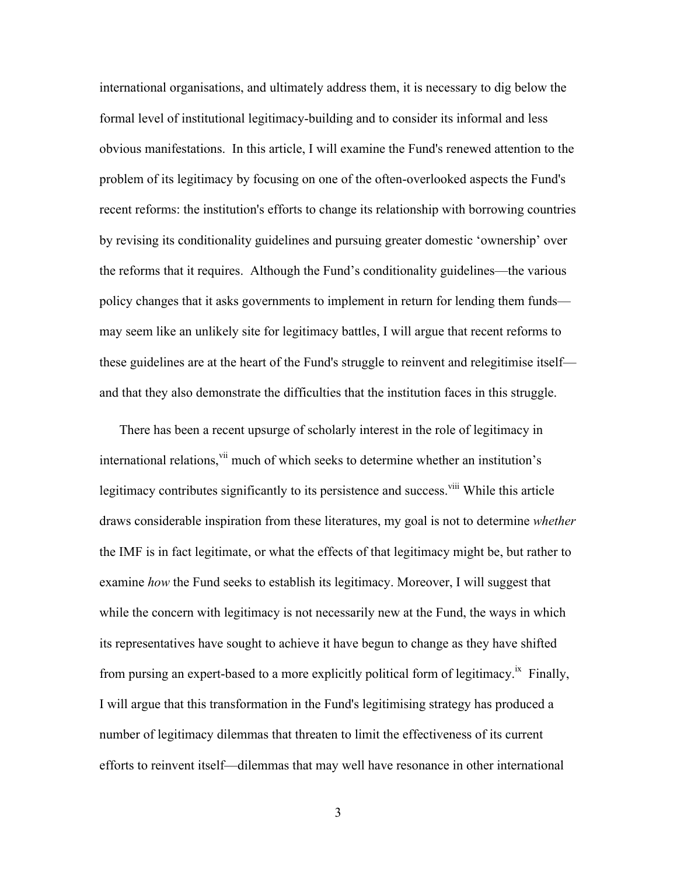international organisations, and ultimately address them, it is necessary to dig below the formal level of institutional legitimacy-building and to consider its informal and less obvious manifestations. In this article, I will examine the Fund's renewed attention to the problem of its legitimacy by focusing on one of the often-overlooked aspects the Fund's recent reforms: the institution's efforts to change its relationship with borrowing countries by revising its conditionality guidelines and pursuing greater domestic 'ownership' over the reforms that it requires. Although the Fund's conditionality guidelines—the various policy changes that it asks governments to implement in return for lending them funds may seem like an unlikely site for legitimacy battles, I will argue that recent reforms to these guidelines are at the heart of the Fund's struggle to reinvent and relegitimise itself and that they also demonstrate the difficulties that the institution faces in this struggle.

There has been a recent upsurge of scholarly interest in the role of legitimacy in international relations,<sup>vii</sup> much of which seeks to determine whether an institution's legitimacy contributes significantly to its persistence and success.<sup>viii</sup> While this article draws considerable inspiration from these literatures, my goal is not to determine *whether* the IMF is in fact legitimate, or what the effects of that legitimacy might be, but rather to examine *how* the Fund seeks to establish its legitimacy. Moreover, I will suggest that while the concern with legitimacy is not necessarily new at the Fund, the ways in which its representatives have sought to achieve it have begun to change as they have shifted from pursing an expert-based to a more explicitly political form of legitimacy.<sup>ix</sup> Finally, I will argue that this transformation in the Fund's legitimising strategy has produced a number of legitimacy dilemmas that threaten to limit the effectiveness of its current efforts to reinvent itself—dilemmas that may well have resonance in other international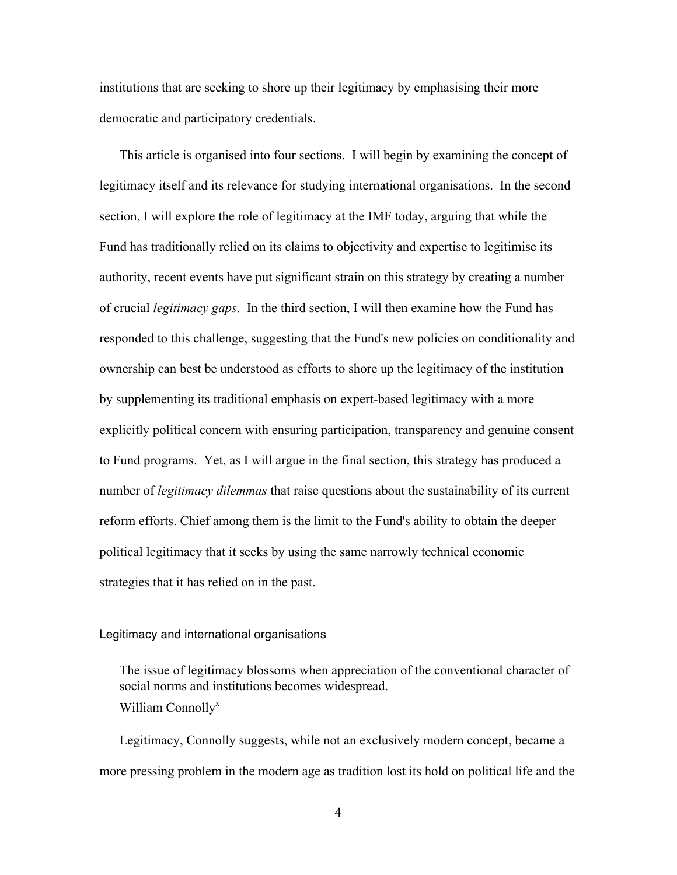institutions that are seeking to shore up their legitimacy by emphasising their more democratic and participatory credentials.

This article is organised into four sections. I will begin by examining the concept of legitimacy itself and its relevance for studying international organisations. In the second section, I will explore the role of legitimacy at the IMF today, arguing that while the Fund has traditionally relied on its claims to objectivity and expertise to legitimise its authority, recent events have put significant strain on this strategy by creating a number of crucial *legitimacy gaps*. In the third section, I will then examine how the Fund has responded to this challenge, suggesting that the Fund's new policies on conditionality and ownership can best be understood as efforts to shore up the legitimacy of the institution by supplementing its traditional emphasis on expert-based legitimacy with a more explicitly political concern with ensuring participation, transparency and genuine consent to Fund programs. Yet, as I will argue in the final section, this strategy has produced a number of *legitimacy dilemmas* that raise questions about the sustainability of its current reform efforts. Chief among them is the limit to the Fund's ability to obtain the deeper political legitimacy that it seeks by using the same narrowly technical economic strategies that it has relied on in the past.

## Legitimacy and international organisations

The issue of legitimacy blossoms when appreciation of the conventional character of social norms and institutions becomes widespread. William Connolly<sup>x</sup>

Legitimacy, Connolly suggests, while not an exclusively modern concept, became a more pressing problem in the modern age as tradition lost its hold on political life and the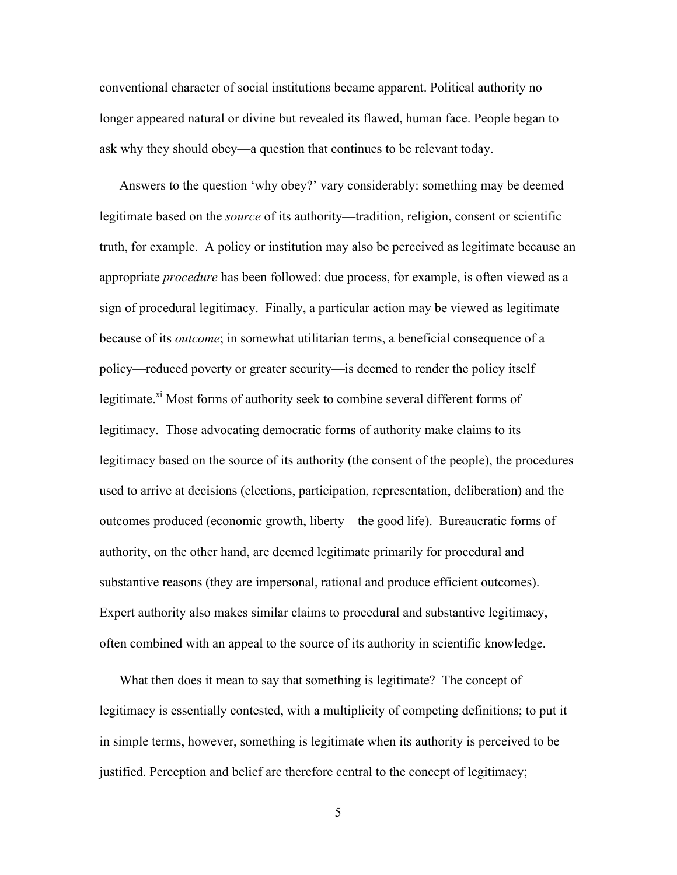conventional character of social institutions became apparent. Political authority no longer appeared natural or divine but revealed its flawed, human face. People began to ask why they should obey—a question that continues to be relevant today.

Answers to the question 'why obey?' vary considerably: something may be deemed legitimate based on the *source* of its authority—tradition, religion, consent or scientific truth, for example. A policy or institution may also be perceived as legitimate because an appropriate *procedure* has been followed: due process, for example, is often viewed as a sign of procedural legitimacy. Finally, a particular action may be viewed as legitimate because of its *outcome*; in somewhat utilitarian terms, a beneficial consequence of a policy—reduced poverty or greater security—is deemed to render the policy itself legitimate.<sup>xi</sup> Most forms of authority seek to combine several different forms of legitimacy. Those advocating democratic forms of authority make claims to its legitimacy based on the source of its authority (the consent of the people), the procedures used to arrive at decisions (elections, participation, representation, deliberation) and the outcomes produced (economic growth, liberty—the good life). Bureaucratic forms of authority, on the other hand, are deemed legitimate primarily for procedural and substantive reasons (they are impersonal, rational and produce efficient outcomes). Expert authority also makes similar claims to procedural and substantive legitimacy, often combined with an appeal to the source of its authority in scientific knowledge.

What then does it mean to say that something is legitimate? The concept of legitimacy is essentially contested, with a multiplicity of competing definitions; to put it in simple terms, however, something is legitimate when its authority is perceived to be justified. Perception and belief are therefore central to the concept of legitimacy;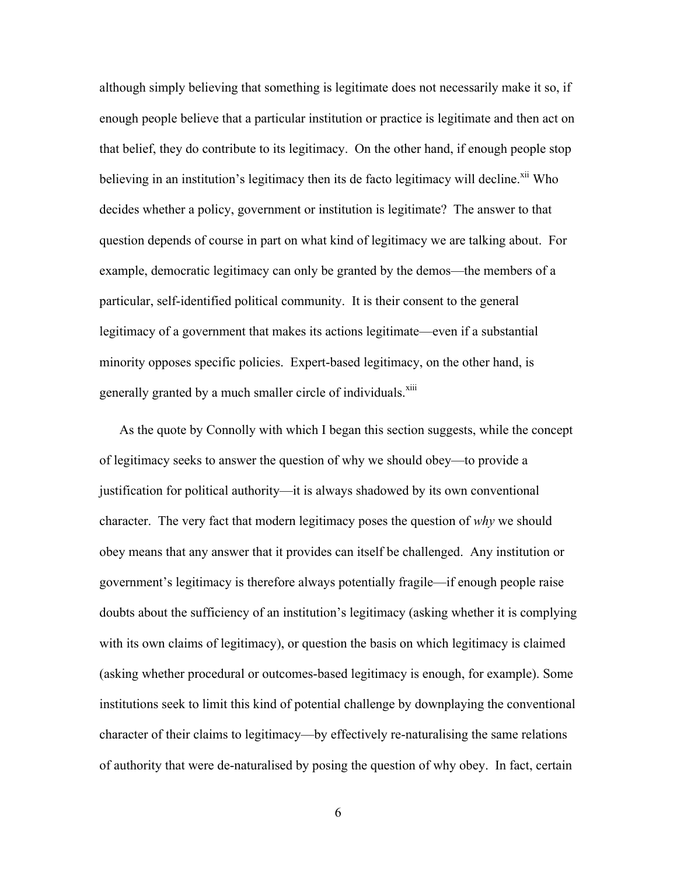although simply believing that something is legitimate does not necessarily make it so, if enough people believe that a particular institution or practice is legitimate and then act on that belief, they do contribute to its legitimacy. On the other hand, if enough people stop believing in an institution's legitimacy then its de facto legitimacy will decline. $\frac{x^{i}}{i}$  Who decides whether a policy, government or institution is legitimate? The answer to that question depends of course in part on what kind of legitimacy we are talking about. For example, democratic legitimacy can only be granted by the demos—the members of a particular, self-identified political community. It is their consent to the general legitimacy of a government that makes its actions legitimate—even if a substantial minority opposes specific policies. Expert-based legitimacy, on the other hand, is generally granted by a much smaller circle of individuals.<sup>xiii</sup>

As the quote by Connolly with which I began this section suggests, while the concept of legitimacy seeks to answer the question of why we should obey—to provide a justification for political authority—it is always shadowed by its own conventional character. The very fact that modern legitimacy poses the question of *why* we should obey means that any answer that it provides can itself be challenged. Any institution or government's legitimacy is therefore always potentially fragile—if enough people raise doubts about the sufficiency of an institution's legitimacy (asking whether it is complying with its own claims of legitimacy), or question the basis on which legitimacy is claimed (asking whether procedural or outcomes-based legitimacy is enough, for example). Some institutions seek to limit this kind of potential challenge by downplaying the conventional character of their claims to legitimacy—by effectively re-naturalising the same relations of authority that were de-naturalised by posing the question of why obey. In fact, certain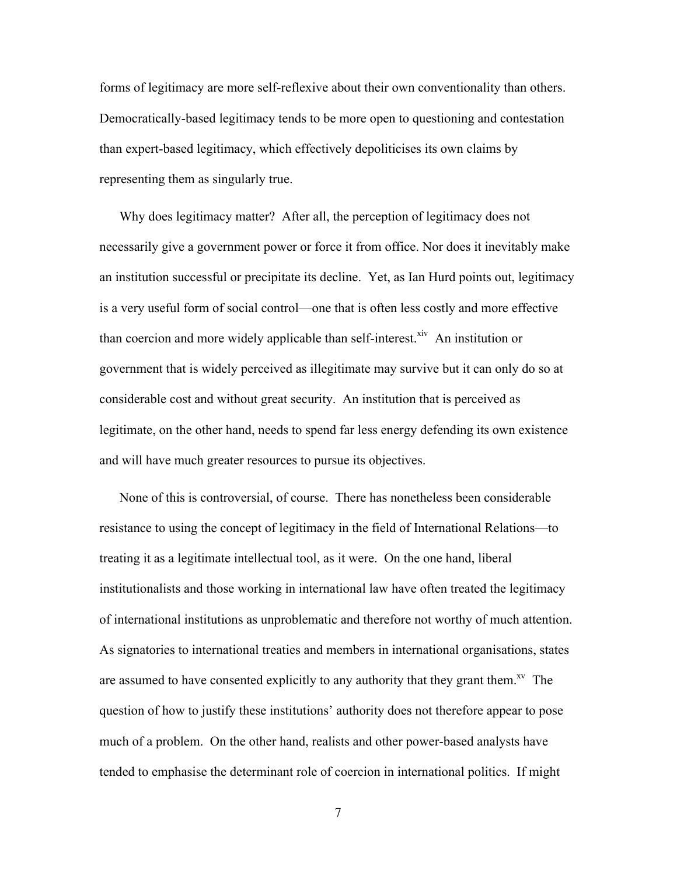forms of legitimacy are more self-reflexive about their own conventionality than others. Democratically-based legitimacy tends to be more open to questioning and contestation than expert-based legitimacy, which effectively depoliticises its own claims by representing them as singularly true.

Why does legitimacy matter? After all, the perception of legitimacy does not necessarily give a government power or force it from office. Nor does it inevitably make an institution successful or precipitate its decline. Yet, as Ian Hurd points out, legitimacy is a very useful form of social control—one that is often less costly and more effective than coercion and more widely applicable than self-interest. $\frac{x^2}{x^2}$  An institution or government that is widely perceived as illegitimate may survive but it can only do so at considerable cost and without great security. An institution that is perceived as legitimate, on the other hand, needs to spend far less energy defending its own existence and will have much greater resources to pursue its objectives.

None of this is controversial, of course. There has nonetheless been considerable resistance to using the concept of legitimacy in the field of International Relations—to treating it as a legitimate intellectual tool, as it were. On the one hand, liberal institutionalists and those working in international law have often treated the legitimacy of international institutions as unproblematic and therefore not worthy of much attention. As signatories to international treaties and members in international organisations, states are assumed to have consented explicitly to any authority that they grant them.<sup>xv</sup> The question of how to justify these institutions' authority does not therefore appear to pose much of a problem. On the other hand, realists and other power-based analysts have tended to emphasise the determinant role of coercion in international politics. If might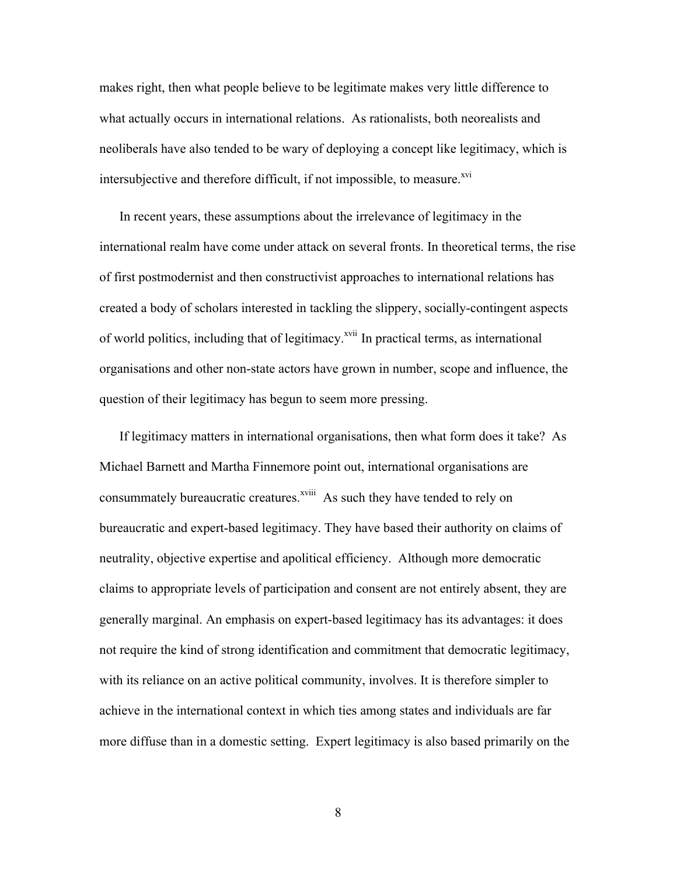makes right, then what people believe to be legitimate makes very little difference to what actually occurs in international relations. As rationalists, both neorealists and neoliberals have also tended to be wary of deploying a concept like legitimacy, which is intersubjective and therefore difficult, if not impossible, to measure.<sup>xvi</sup>

In recent years, these assumptions about the irrelevance of legitimacy in the international realm have come under attack on several fronts. In theoretical terms, the rise of first postmodernist and then constructivist approaches to international relations has created a body of scholars interested in tackling the slippery, socially-contingent aspects of world politics, including that of legitimacy.<sup>xvii</sup> In practical terms, as international organisations and other non-state actors have grown in number, scope and influence, the question of their legitimacy has begun to seem more pressing.

If legitimacy matters in international organisations, then what form does it take? As Michael Barnett and Martha Finnemore point out, international organisations are consummately bureaucratic creatures.<sup>xviii</sup> As such they have tended to rely on bureaucratic and expert-based legitimacy. They have based their authority on claims of neutrality, objective expertise and apolitical efficiency. Although more democratic claims to appropriate levels of participation and consent are not entirely absent, they are generally marginal. An emphasis on expert-based legitimacy has its advantages: it does not require the kind of strong identification and commitment that democratic legitimacy, with its reliance on an active political community, involves. It is therefore simpler to achieve in the international context in which ties among states and individuals are far more diffuse than in a domestic setting. Expert legitimacy is also based primarily on the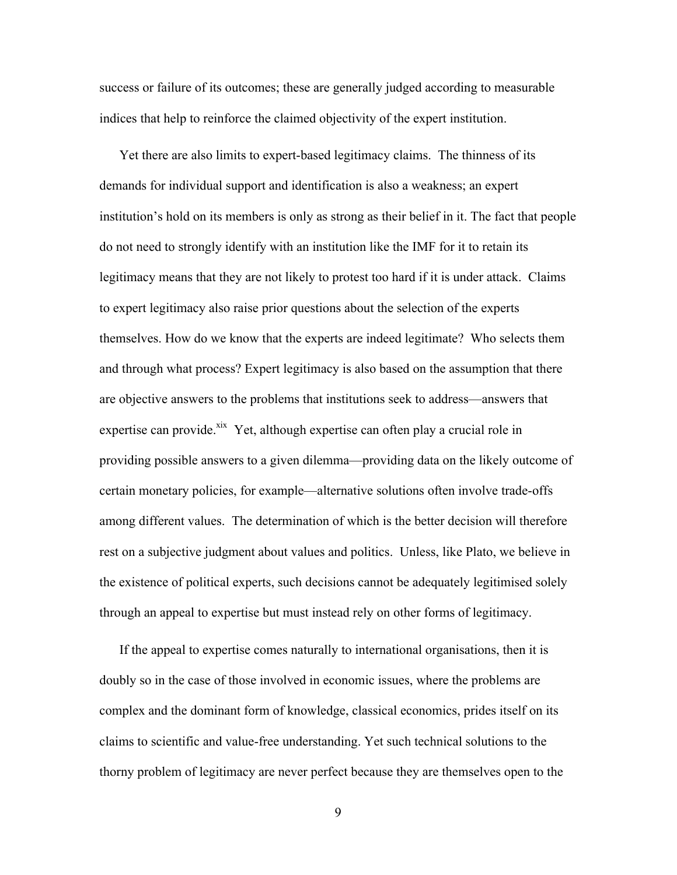success or failure of its outcomes; these are generally judged according to measurable indices that help to reinforce the claimed objectivity of the expert institution.

Yet there are also limits to expert-based legitimacy claims. The thinness of its demands for individual support and identification is also a weakness; an expert institution's hold on its members is only as strong as their belief in it. The fact that people do not need to strongly identify with an institution like the IMF for it to retain its legitimacy means that they are not likely to protest too hard if it is under attack. Claims to expert legitimacy also raise prior questions about the selection of the experts themselves. How do we know that the experts are indeed legitimate? Who selects them and through what process? Expert legitimacy is also based on the assumption that there are objective answers to the problems that institutions seek to address—answers that expertise can provide.<sup>xix</sup> Yet, although expertise can often play a crucial role in providing possible answers to a given dilemma—providing data on the likely outcome of certain monetary policies, for example—alternative solutions often involve trade-offs among different values. The determination of which is the better decision will therefore rest on a subjective judgment about values and politics. Unless, like Plato, we believe in the existence of political experts, such decisions cannot be adequately legitimised solely through an appeal to expertise but must instead rely on other forms of legitimacy.

If the appeal to expertise comes naturally to international organisations, then it is doubly so in the case of those involved in economic issues, where the problems are complex and the dominant form of knowledge, classical economics, prides itself on its claims to scientific and value-free understanding. Yet such technical solutions to the thorny problem of legitimacy are never perfect because they are themselves open to the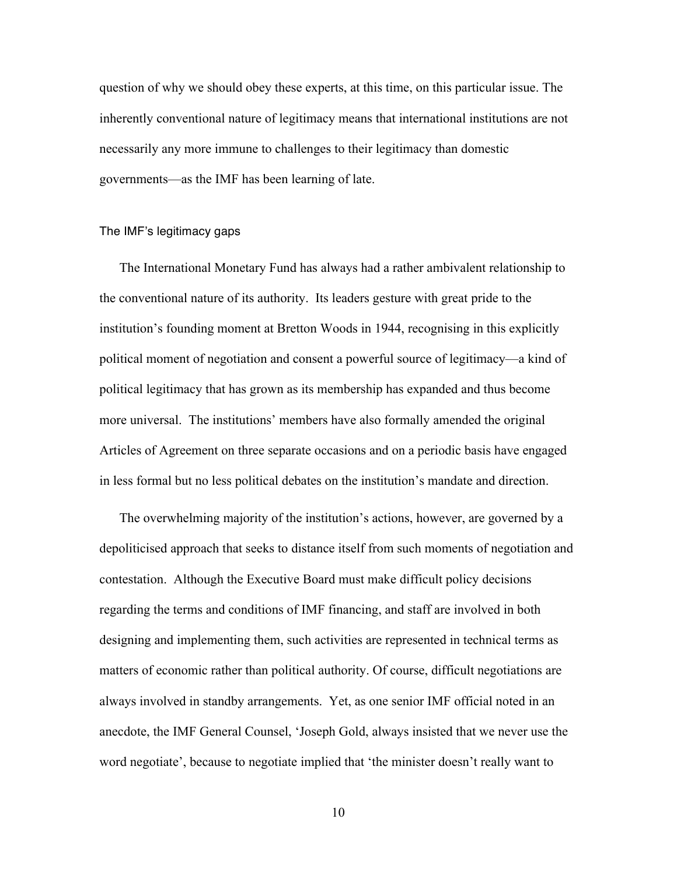question of why we should obey these experts, at this time, on this particular issue. The inherently conventional nature of legitimacy means that international institutions are not necessarily any more immune to challenges to their legitimacy than domestic governments—as the IMF has been learning of late.

# The IMF's legitimacy gaps

The International Monetary Fund has always had a rather ambivalent relationship to the conventional nature of its authority. Its leaders gesture with great pride to the institution's founding moment at Bretton Woods in 1944, recognising in this explicitly political moment of negotiation and consent a powerful source of legitimacy—a kind of political legitimacy that has grown as its membership has expanded and thus become more universal. The institutions' members have also formally amended the original Articles of Agreement on three separate occasions and on a periodic basis have engaged in less formal but no less political debates on the institution's mandate and direction.

The overwhelming majority of the institution's actions, however, are governed by a depoliticised approach that seeks to distance itself from such moments of negotiation and contestation. Although the Executive Board must make difficult policy decisions regarding the terms and conditions of IMF financing, and staff are involved in both designing and implementing them, such activities are represented in technical terms as matters of economic rather than political authority. Of course, difficult negotiations are always involved in standby arrangements. Yet, as one senior IMF official noted in an anecdote, the IMF General Counsel, 'Joseph Gold, always insisted that we never use the word negotiate', because to negotiate implied that 'the minister doesn't really want to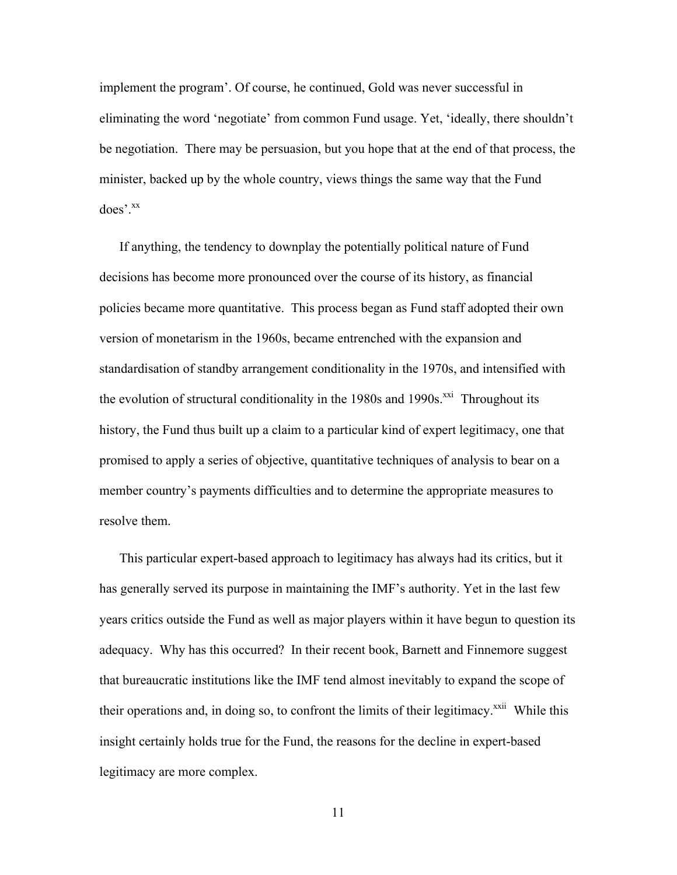implement the program'. Of course, he continued, Gold was never successful in eliminating the word 'negotiate' from common Fund usage. Yet, 'ideally, there shouldn't be negotiation. There may be persuasion, but you hope that at the end of that process, the minister, backed up by the whole country, views things the same way that the Fund does'.xx

If anything, the tendency to downplay the potentially political nature of Fund decisions has become more pronounced over the course of its history, as financial policies became more quantitative. This process began as Fund staff adopted their own version of monetarism in the 1960s, became entrenched with the expansion and standardisation of standby arrangement conditionality in the 1970s, and intensified with the evolution of structural conditionality in the  $1980s$  and  $1990s$ <sup> $xxi$ </sup> Throughout its history, the Fund thus built up a claim to a particular kind of expert legitimacy, one that promised to apply a series of objective, quantitative techniques of analysis to bear on a member country's payments difficulties and to determine the appropriate measures to resolve them.

This particular expert-based approach to legitimacy has always had its critics, but it has generally served its purpose in maintaining the IMF's authority. Yet in the last few years critics outside the Fund as well as major players within it have begun to question its adequacy. Why has this occurred? In their recent book, Barnett and Finnemore suggest that bureaucratic institutions like the IMF tend almost inevitably to expand the scope of their operations and, in doing so, to confront the limits of their legitimacy.<sup>xxii</sup> While this insight certainly holds true for the Fund, the reasons for the decline in expert-based legitimacy are more complex.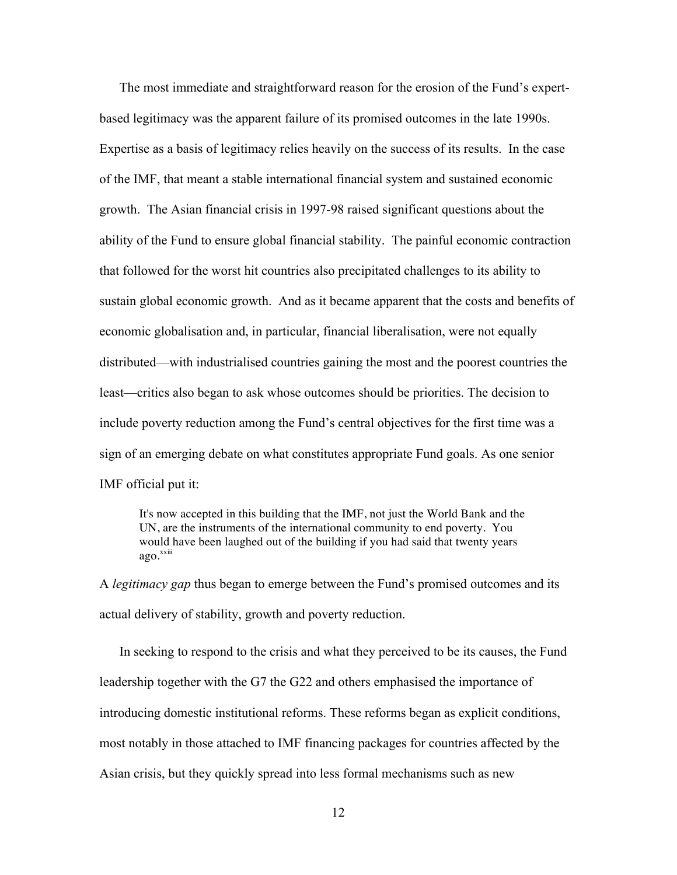The most immediate and straightforward reason for the erosion of the Fund's expertbased legitimacy was the apparent failure of its promised outcomes in the late 1990s. Expertise as a basis of legitimacy relies heavily on the success of its results. In the case of the IMF, that meant a stable international financial system and sustained economic growth. The Asian financial crisis in 1997-98 raised significant questions about the ability of the Fund to ensure global financial stability. The painful economic contraction that followed for the worst hit countries also precipitated challenges to its ability to sustain global economic growth. And as it became apparent that the costs and benefits of economic globalisation and, in particular, financial liberalisation, were not equally distributed—with industrialised countries gaining the most and the poorest countries the least—critics also began to ask whose outcomes should be priorities. The decision to include poverty reduction among the Fund's central objectives for the first time was a sign of an emerging debate on what constitutes appropriate Fund goals. As one senior IMF official put it:

It's now accepted in this building that the IMF, not just the World Bank and the UN, are the instruments of the international community to end poverty. You would have been laughed out of the building if you had said that twenty years ago.<sup>xxiii</sup>

A *legitimacy gap* thus began to emerge between the Fund's promised outcomes and its actual delivery of stability, growth and poverty reduction.

In seeking to respond to the crisis and what they perceived to be its causes, the Fund leadership together with the G7 the G22 and others emphasised the importance of introducing domestic institutional reforms. These reforms began as explicit conditions, most notably in those attached to IMF financing packages for countries affected by the Asian crisis, but they quickly spread into less formal mechanisms such as new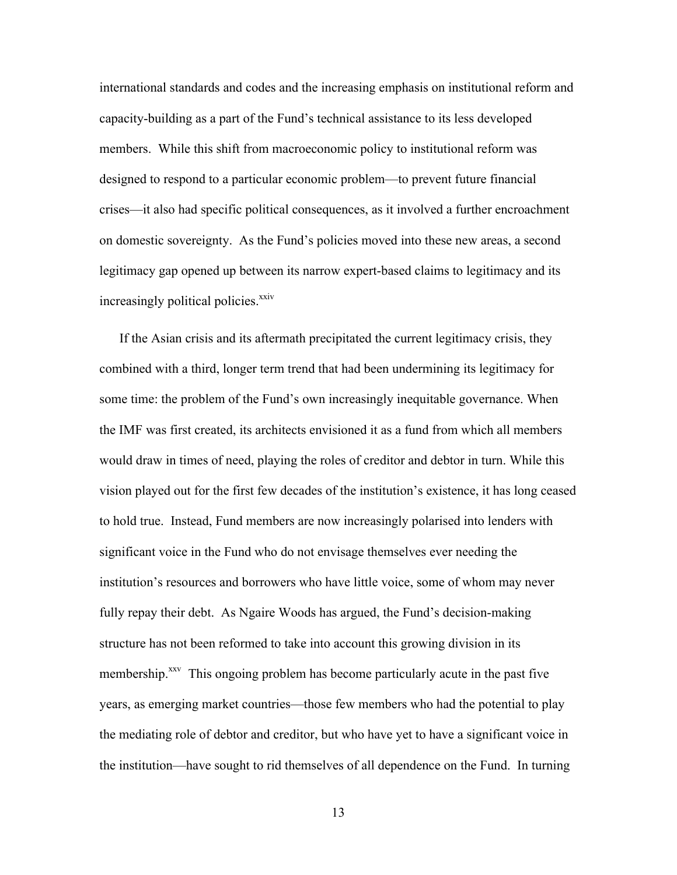international standards and codes and the increasing emphasis on institutional reform and capacity-building as a part of the Fund's technical assistance to its less developed members. While this shift from macroeconomic policy to institutional reform was designed to respond to a particular economic problem—to prevent future financial crises—it also had specific political consequences, as it involved a further encroachment on domestic sovereignty. As the Fund's policies moved into these new areas, a second legitimacy gap opened up between its narrow expert-based claims to legitimacy and its increasingly political policies.<sup>xxiv</sup>

If the Asian crisis and its aftermath precipitated the current legitimacy crisis, they combined with a third, longer term trend that had been undermining its legitimacy for some time: the problem of the Fund's own increasingly inequitable governance. When the IMF was first created, its architects envisioned it as a fund from which all members would draw in times of need, playing the roles of creditor and debtor in turn. While this vision played out for the first few decades of the institution's existence, it has long ceased to hold true. Instead, Fund members are now increasingly polarised into lenders with significant voice in the Fund who do not envisage themselves ever needing the institution's resources and borrowers who have little voice, some of whom may never fully repay their debt. As Ngaire Woods has argued, the Fund's decision-making structure has not been reformed to take into account this growing division in its membership.<sup>xxv</sup> This ongoing problem has become particularly acute in the past five years, as emerging market countries—those few members who had the potential to play the mediating role of debtor and creditor, but who have yet to have a significant voice in the institution—have sought to rid themselves of all dependence on the Fund. In turning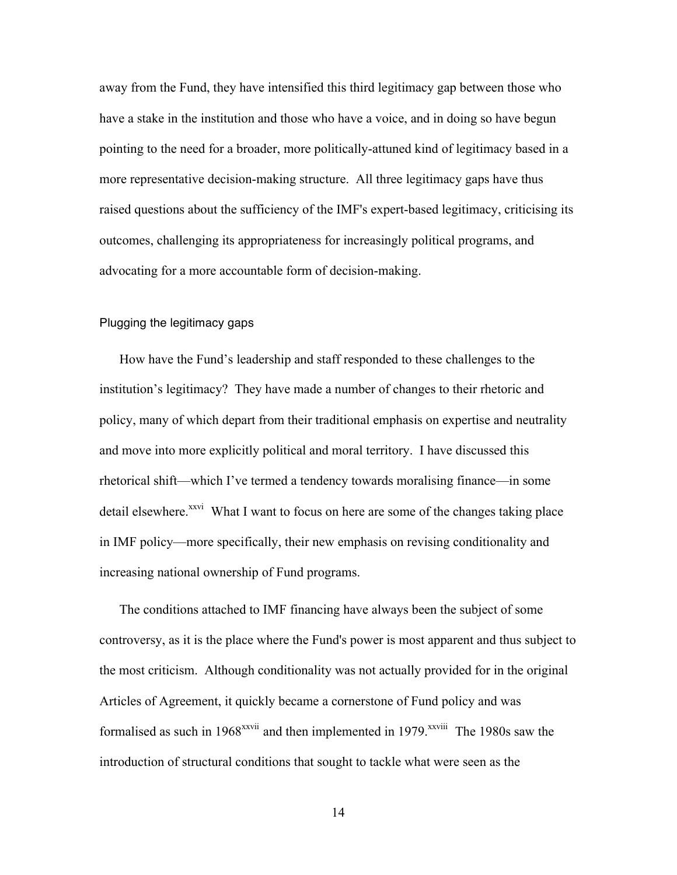away from the Fund, they have intensified this third legitimacy gap between those who have a stake in the institution and those who have a voice, and in doing so have begun pointing to the need for a broader, more politically-attuned kind of legitimacy based in a more representative decision-making structure. All three legitimacy gaps have thus raised questions about the sufficiency of the IMF's expert-based legitimacy, criticising its outcomes, challenging its appropriateness for increasingly political programs, and advocating for a more accountable form of decision-making.

# Plugging the legitimacy gaps

How have the Fund's leadership and staff responded to these challenges to the institution's legitimacy? They have made a number of changes to their rhetoric and policy, many of which depart from their traditional emphasis on expertise and neutrality and move into more explicitly political and moral territory. I have discussed this rhetorical shift—which I've termed a tendency towards moralising finance—in some detail elsewhere.<sup>xxvi</sup> What I want to focus on here are some of the changes taking place in IMF policy—more specifically, their new emphasis on revising conditionality and increasing national ownership of Fund programs.

The conditions attached to IMF financing have always been the subject of some controversy, as it is the place where the Fund's power is most apparent and thus subject to the most criticism. Although conditionality was not actually provided for in the original Articles of Agreement, it quickly became a cornerstone of Fund policy and was formalised as such in  $1968^{xxvii}$  and then implemented in  $1979$ . *xxviii* The 1980s saw the introduction of structural conditions that sought to tackle what were seen as the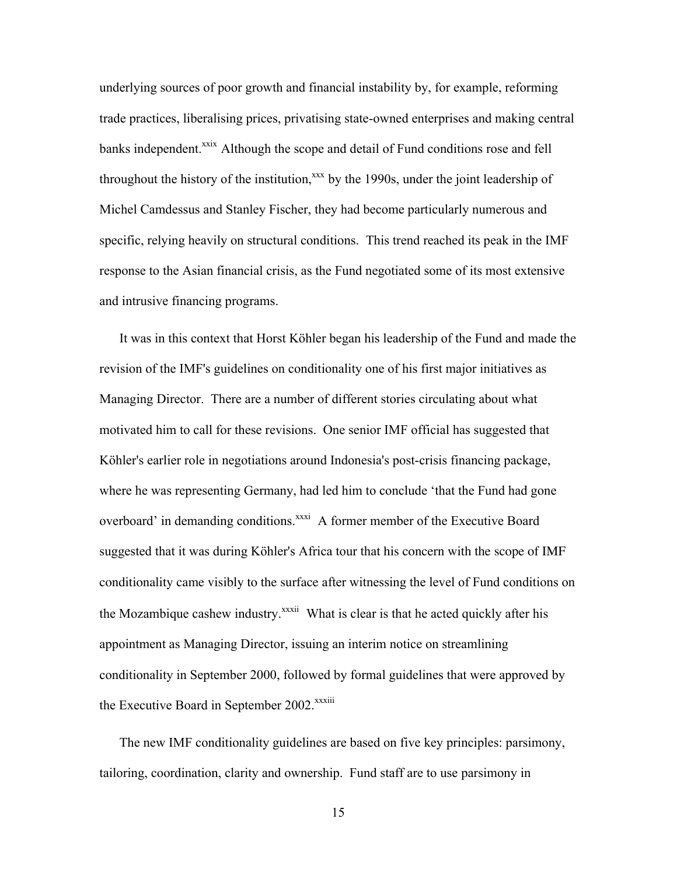underlying sources of poor growth and financial instability by, for example, reforming trade practices, liberalising prices, privatising state-owned enterprises and making central banks independent.<sup>xxix</sup> Although the scope and detail of Fund conditions rose and fell throughout the history of the institution, $x^{\text{xx}}$  by the 1990s, under the joint leadership of Michel Camdessus and Stanley Fischer, they had become particularly numerous and specific, relying heavily on structural conditions. This trend reached its peak in the IMF response to the Asian financial crisis, as the Fund negotiated some of its most extensive and intrusive financing programs.

It was in this context that Horst Köhler began his leadership of the Fund and made the revision of the IMF's guidelines on conditionality one of his first major initiatives as Managing Director. There are a number of different stories circulating about what motivated him to call for these revisions. One senior IMF official has suggested that Köhler's earlier role in negotiations around Indonesia's post-crisis financing package, where he was representing Germany, had led him to conclude 'that the Fund had gone overboard' in demanding conditions.<sup>xxxi</sup> A former member of the Executive Board suggested that it was during Köhler's Africa tour that his concern with the scope of IMF conditionality came visibly to the surface after witnessing the level of Fund conditions on the Mozambique cashew industry.<sup>xxxii</sup> What is clear is that he acted quickly after his appointment as Managing Director, issuing an interim notice on streamlining conditionality in September 2000, followed by formal guidelines that were approved by the Executive Board in September 2002.<sup>xxxiii</sup>

The new IMF conditionality guidelines are based on five key principles: parsimony, tailoring, coordination, clarity and ownership. Fund staff are to use parsimony in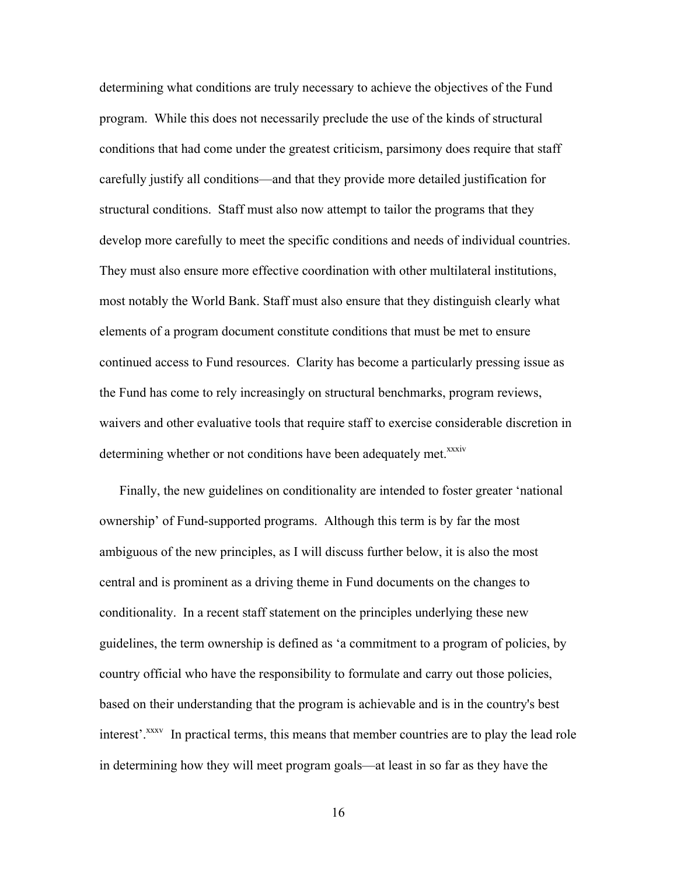determining what conditions are truly necessary to achieve the objectives of the Fund program. While this does not necessarily preclude the use of the kinds of structural conditions that had come under the greatest criticism, parsimony does require that staff carefully justify all conditions—and that they provide more detailed justification for structural conditions. Staff must also now attempt to tailor the programs that they develop more carefully to meet the specific conditions and needs of individual countries. They must also ensure more effective coordination with other multilateral institutions, most notably the World Bank. Staff must also ensure that they distinguish clearly what elements of a program document constitute conditions that must be met to ensure continued access to Fund resources. Clarity has become a particularly pressing issue as the Fund has come to rely increasingly on structural benchmarks, program reviews, waivers and other evaluative tools that require staff to exercise considerable discretion in determining whether or not conditions have been adequately met.<sup>xxxiv</sup>

Finally, the new guidelines on conditionality are intended to foster greater 'national ownership' of Fund-supported programs. Although this term is by far the most ambiguous of the new principles, as I will discuss further below, it is also the most central and is prominent as a driving theme in Fund documents on the changes to conditionality. In a recent staff statement on the principles underlying these new guidelines, the term ownership is defined as 'a commitment to a program of policies, by country official who have the responsibility to formulate and carry out those policies, based on their understanding that the program is achievable and is in the country's best interest'.<sup>xxxv</sup> In practical terms, this means that member countries are to play the lead role in determining how they will meet program goals—at least in so far as they have the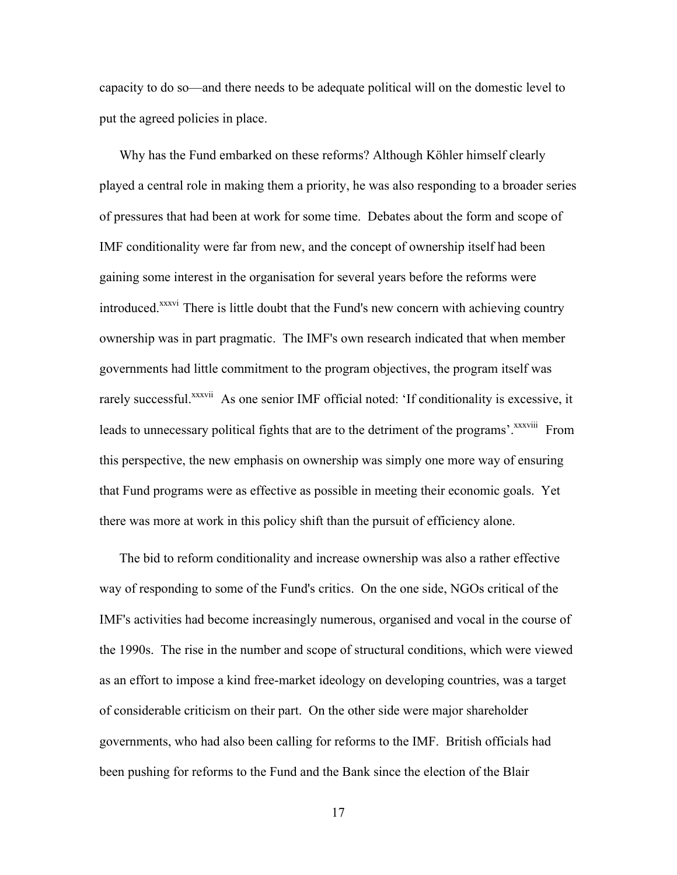capacity to do so—and there needs to be adequate political will on the domestic level to put the agreed policies in place.

Why has the Fund embarked on these reforms? Although Köhler himself clearly played a central role in making them a priority, he was also responding to a broader series of pressures that had been at work for some time. Debates about the form and scope of IMF conditionality were far from new, and the concept of ownership itself had been gaining some interest in the organisation for several years before the reforms were introduced.<sup>xxxvi</sup> There is little doubt that the Fund's new concern with achieving country ownership was in part pragmatic. The IMF's own research indicated that when member governments had little commitment to the program objectives, the program itself was rarely successful.<sup>xxxvii</sup> As one senior IMF official noted: 'If conditionality is excessive, it leads to unnecessary political fights that are to the detriment of the programs'.<sup>xxxviii</sup> From this perspective, the new emphasis on ownership was simply one more way of ensuring that Fund programs were as effective as possible in meeting their economic goals. Yet there was more at work in this policy shift than the pursuit of efficiency alone.

The bid to reform conditionality and increase ownership was also a rather effective way of responding to some of the Fund's critics. On the one side, NGOs critical of the IMF's activities had become increasingly numerous, organised and vocal in the course of the 1990s. The rise in the number and scope of structural conditions, which were viewed as an effort to impose a kind free-market ideology on developing countries, was a target of considerable criticism on their part. On the other side were major shareholder governments, who had also been calling for reforms to the IMF. British officials had been pushing for reforms to the Fund and the Bank since the election of the Blair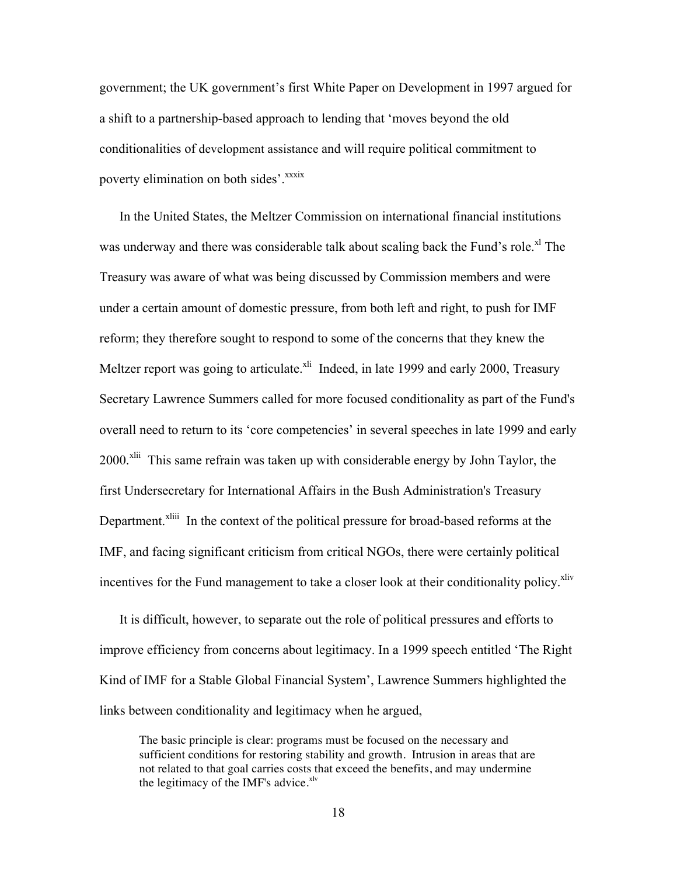government; the UK government's first White Paper on Development in 1997 argued for a shift to a partnership-based approach to lending that 'moves beyond the old conditionalities of development assistance and will require political commitment to poverty elimination on both sides'.<sup>xxxix</sup>

In the United States, the Meltzer Commission on international financial institutions was underway and there was considerable talk about scaling back the Fund's role.<sup>xl</sup> The Treasury was aware of what was being discussed by Commission members and were under a certain amount of domestic pressure, from both left and right, to push for IMF reform; they therefore sought to respond to some of the concerns that they knew the Meltzer report was going to articulate. $x<sup>l</sup>$  Indeed, in late 1999 and early 2000, Treasury Secretary Lawrence Summers called for more focused conditionality as part of the Fund's overall need to return to its 'core competencies' in several speeches in late 1999 and early 2000.<sup>xlii</sup> This same refrain was taken up with considerable energy by John Taylor, the first Undersecretary for International Affairs in the Bush Administration's Treasury Department.<sup>xliii</sup> In the context of the political pressure for broad-based reforms at the IMF, and facing significant criticism from critical NGOs, there were certainly political incentives for the Fund management to take a closer look at their conditionality policy.<sup>xliv</sup>

It is difficult, however, to separate out the role of political pressures and efforts to improve efficiency from concerns about legitimacy. In a 1999 speech entitled 'The Right Kind of IMF for a Stable Global Financial System', Lawrence Summers highlighted the links between conditionality and legitimacy when he argued,

The basic principle is clear: programs must be focused on the necessary and sufficient conditions for restoring stability and growth. Intrusion in areas that are not related to that goal carries costs that exceed the benefits, and may undermine the legitimacy of the IMF's advice. $x^1$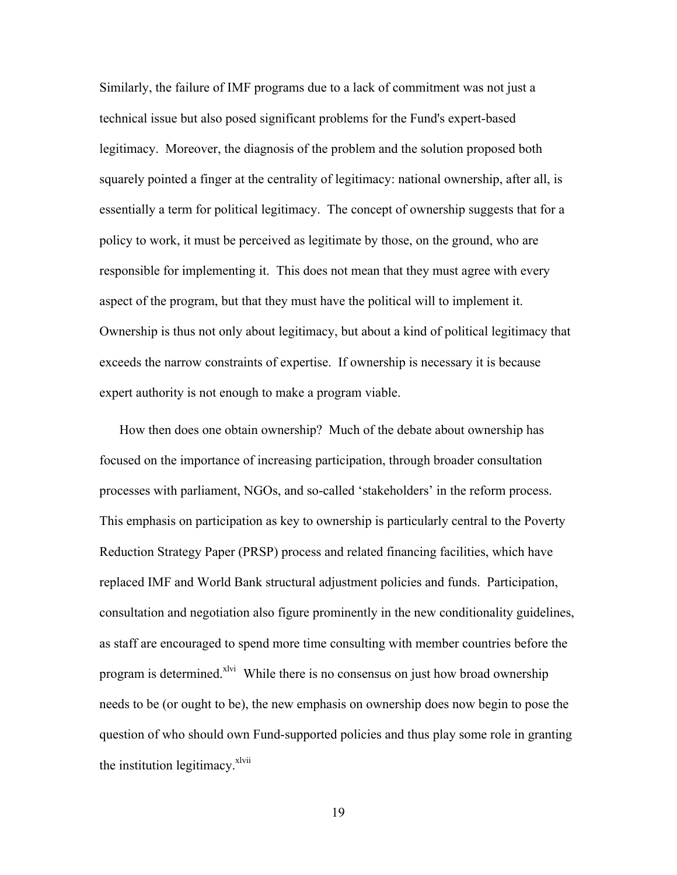Similarly, the failure of IMF programs due to a lack of commitment was not just a technical issue but also posed significant problems for the Fund's expert-based legitimacy. Moreover, the diagnosis of the problem and the solution proposed both squarely pointed a finger at the centrality of legitimacy: national ownership, after all, is essentially a term for political legitimacy. The concept of ownership suggests that for a policy to work, it must be perceived as legitimate by those, on the ground, who are responsible for implementing it. This does not mean that they must agree with every aspect of the program, but that they must have the political will to implement it. Ownership is thus not only about legitimacy, but about a kind of political legitimacy that exceeds the narrow constraints of expertise. If ownership is necessary it is because expert authority is not enough to make a program viable.

How then does one obtain ownership? Much of the debate about ownership has focused on the importance of increasing participation, through broader consultation processes with parliament, NGOs, and so-called 'stakeholders' in the reform process. This emphasis on participation as key to ownership is particularly central to the Poverty Reduction Strategy Paper (PRSP) process and related financing facilities, which have replaced IMF and World Bank structural adjustment policies and funds. Participation, consultation and negotiation also figure prominently in the new conditionality guidelines, as staff are encouraged to spend more time consulting with member countries before the program is determined.<sup>xlvi</sup> While there is no consensus on just how broad ownership needs to be (or ought to be), the new emphasis on ownership does now begin to pose the question of who should own Fund-supported policies and thus play some role in granting the institution legitimacy.<sup>xlvii</sup>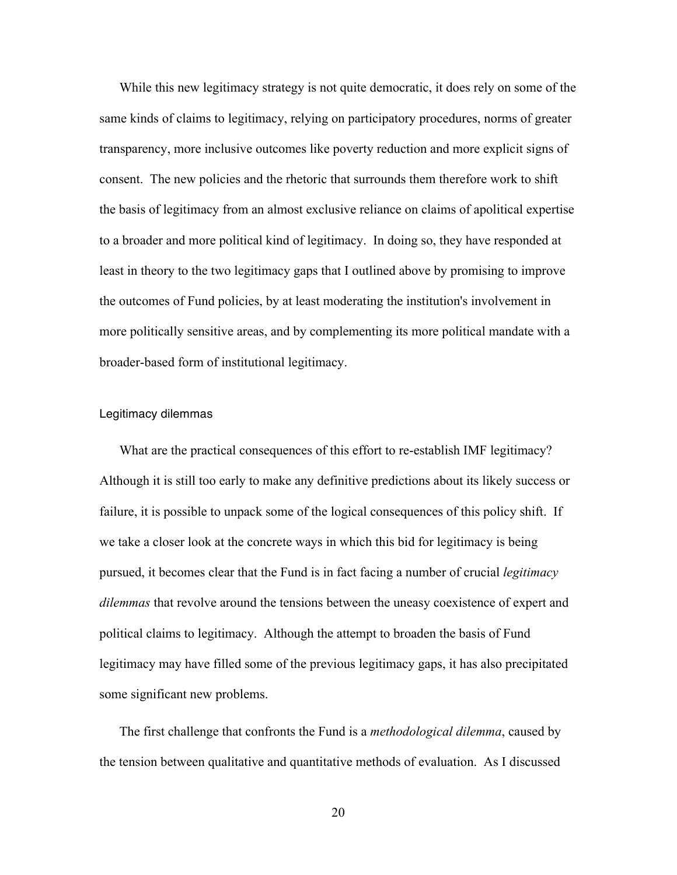While this new legitimacy strategy is not quite democratic, it does rely on some of the same kinds of claims to legitimacy, relying on participatory procedures, norms of greater transparency, more inclusive outcomes like poverty reduction and more explicit signs of consent. The new policies and the rhetoric that surrounds them therefore work to shift the basis of legitimacy from an almost exclusive reliance on claims of apolitical expertise to a broader and more political kind of legitimacy. In doing so, they have responded at least in theory to the two legitimacy gaps that I outlined above by promising to improve the outcomes of Fund policies, by at least moderating the institution's involvement in more politically sensitive areas, and by complementing its more political mandate with a broader-based form of institutional legitimacy.

## Legitimacy dilemmas

What are the practical consequences of this effort to re-establish IMF legitimacy? Although it is still too early to make any definitive predictions about its likely success or failure, it is possible to unpack some of the logical consequences of this policy shift. If we take a closer look at the concrete ways in which this bid for legitimacy is being pursued, it becomes clear that the Fund is in fact facing a number of crucial *legitimacy dilemmas* that revolve around the tensions between the uneasy coexistence of expert and political claims to legitimacy. Although the attempt to broaden the basis of Fund legitimacy may have filled some of the previous legitimacy gaps, it has also precipitated some significant new problems.

The first challenge that confronts the Fund is a *methodological dilemma*, caused by the tension between qualitative and quantitative methods of evaluation. As I discussed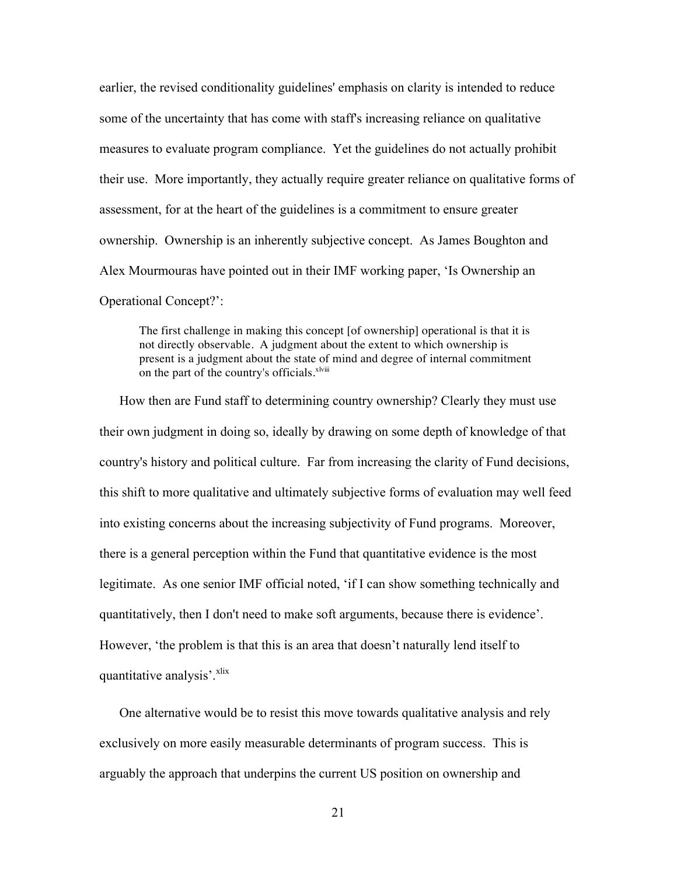earlier, the revised conditionality guidelines' emphasis on clarity is intended to reduce some of the uncertainty that has come with staff's increasing reliance on qualitative measures to evaluate program compliance. Yet the guidelines do not actually prohibit their use. More importantly, they actually require greater reliance on qualitative forms of assessment, for at the heart of the guidelines is a commitment to ensure greater ownership. Ownership is an inherently subjective concept. As James Boughton and Alex Mourmouras have pointed out in their IMF working paper, 'Is Ownership an Operational Concept?':

The first challenge in making this concept [of ownership] operational is that it is not directly observable. A judgment about the extent to which ownership is present is a judgment about the state of mind and degree of internal commitment on the part of the country's officials.<sup>xlviii</sup>

How then are Fund staff to determining country ownership? Clearly they must use their own judgment in doing so, ideally by drawing on some depth of knowledge of that country's history and political culture. Far from increasing the clarity of Fund decisions, this shift to more qualitative and ultimately subjective forms of evaluation may well feed into existing concerns about the increasing subjectivity of Fund programs. Moreover, there is a general perception within the Fund that quantitative evidence is the most legitimate. As one senior IMF official noted, 'if I can show something technically and quantitatively, then I don't need to make soft arguments, because there is evidence'. However, 'the problem is that this is an area that doesn't naturally lend itself to quantitative analysis'.<sup>xlix</sup>

One alternative would be to resist this move towards qualitative analysis and rely exclusively on more easily measurable determinants of program success. This is arguably the approach that underpins the current US position on ownership and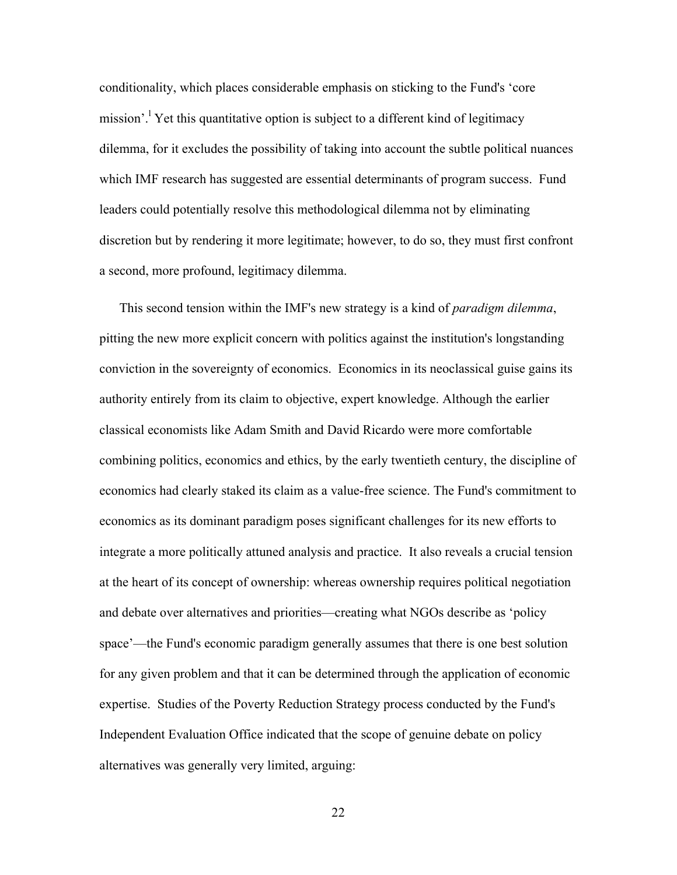conditionality, which places considerable emphasis on sticking to the Fund's 'core mission'.<sup>1</sup> Yet this quantitative option is subject to a different kind of legitimacy dilemma, for it excludes the possibility of taking into account the subtle political nuances which IMF research has suggested are essential determinants of program success. Fund leaders could potentially resolve this methodological dilemma not by eliminating discretion but by rendering it more legitimate; however, to do so, they must first confront a second, more profound, legitimacy dilemma.

This second tension within the IMF's new strategy is a kind of *paradigm dilemma*, pitting the new more explicit concern with politics against the institution's longstanding conviction in the sovereignty of economics. Economics in its neoclassical guise gains its authority entirely from its claim to objective, expert knowledge. Although the earlier classical economists like Adam Smith and David Ricardo were more comfortable combining politics, economics and ethics, by the early twentieth century, the discipline of economics had clearly staked its claim as a value-free science. The Fund's commitment to economics as its dominant paradigm poses significant challenges for its new efforts to integrate a more politically attuned analysis and practice. It also reveals a crucial tension at the heart of its concept of ownership: whereas ownership requires political negotiation and debate over alternatives and priorities—creating what NGOs describe as 'policy space'—the Fund's economic paradigm generally assumes that there is one best solution for any given problem and that it can be determined through the application of economic expertise. Studies of the Poverty Reduction Strategy process conducted by the Fund's Independent Evaluation Office indicated that the scope of genuine debate on policy alternatives was generally very limited, arguing: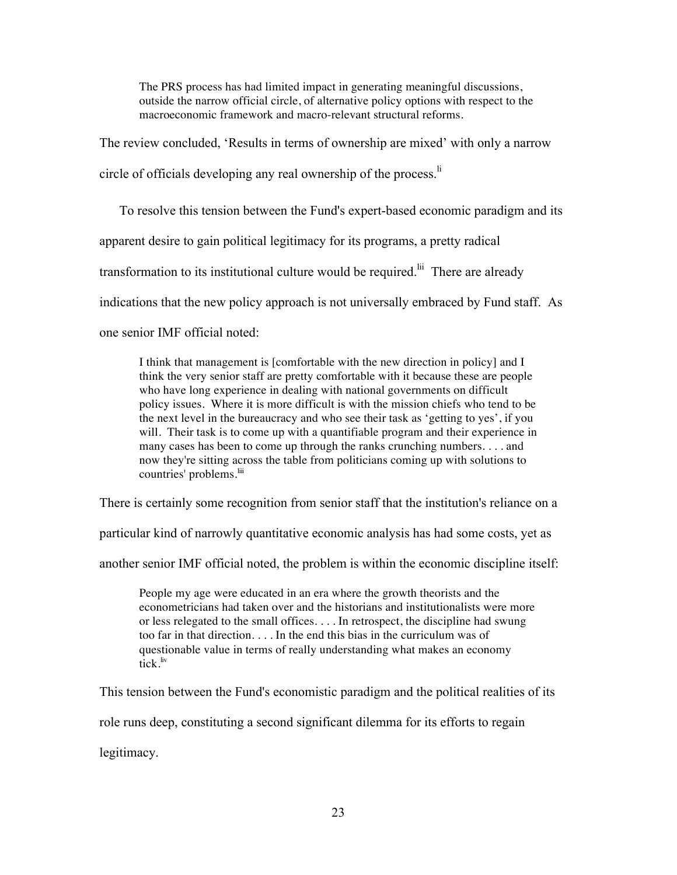The PRS process has had limited impact in generating meaningful discussions, outside the narrow official circle, of alternative policy options with respect to the macroeconomic framework and macro-relevant structural reforms.

The review concluded, 'Results in terms of ownership are mixed' with only a narrow

circle of officials developing any real ownership of the process.<sup>li</sup>

To resolve this tension between the Fund's expert-based economic paradigm and its

apparent desire to gain political legitimacy for its programs, a pretty radical

transformation to its institutional culture would be required.<sup>lii</sup> There are already

indications that the new policy approach is not universally embraced by Fund staff. As

one senior IMF official noted:

I think that management is [comfortable with the new direction in policy] and I think the very senior staff are pretty comfortable with it because these are people who have long experience in dealing with national governments on difficult policy issues. Where it is more difficult is with the mission chiefs who tend to be the next level in the bureaucracy and who see their task as 'getting to yes', if you will. Their task is to come up with a quantifiable program and their experience in many cases has been to come up through the ranks crunching numbers. . . . and now they're sitting across the table from politicians coming up with solutions to countries' problems.<sup>liii</sup>

There is certainly some recognition from senior staff that the institution's reliance on a

particular kind of narrowly quantitative economic analysis has had some costs, yet as

another senior IMF official noted, the problem is within the economic discipline itself:

People my age were educated in an era where the growth theorists and the econometricians had taken over and the historians and institutionalists were more or less relegated to the small offices. . . . In retrospect, the discipline had swung too far in that direction. . . . In the end this bias in the curriculum was of questionable value in terms of really understanding what makes an economy  $\int$ <sub>tick</sub> liv

This tension between the Fund's economistic paradigm and the political realities of its

role runs deep, constituting a second significant dilemma for its efforts to regain

legitimacy.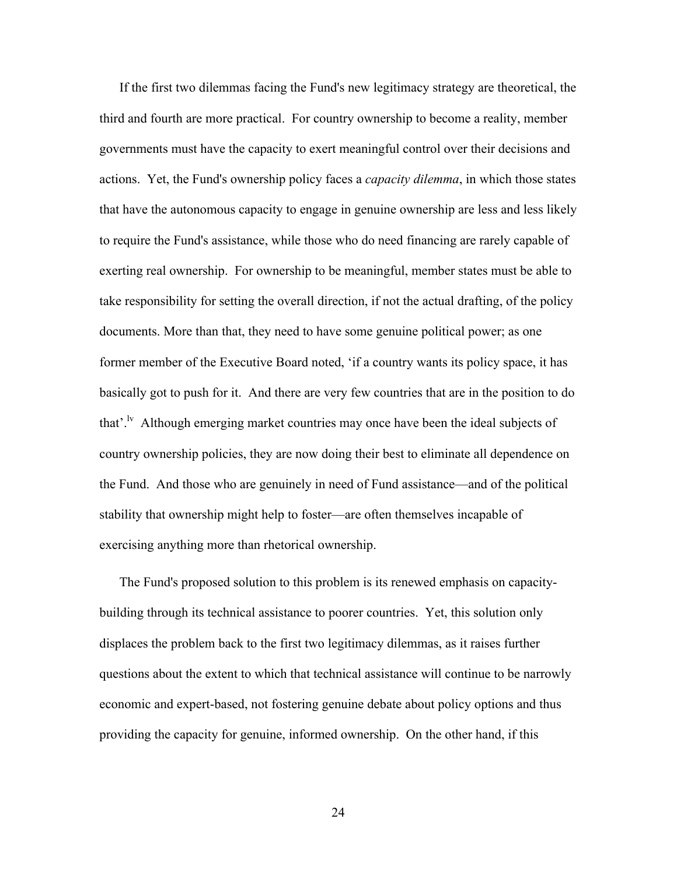If the first two dilemmas facing the Fund's new legitimacy strategy are theoretical, the third and fourth are more practical. For country ownership to become a reality, member governments must have the capacity to exert meaningful control over their decisions and actions. Yet, the Fund's ownership policy faces a *capacity dilemma*, in which those states that have the autonomous capacity to engage in genuine ownership are less and less likely to require the Fund's assistance, while those who do need financing are rarely capable of exerting real ownership. For ownership to be meaningful, member states must be able to take responsibility for setting the overall direction, if not the actual drafting, of the policy documents. More than that, they need to have some genuine political power; as one former member of the Executive Board noted, 'if a country wants its policy space, it has basically got to push for it. And there are very few countries that are in the position to do that'.<sup>lv</sup> Although emerging market countries may once have been the ideal subjects of country ownership policies, they are now doing their best to eliminate all dependence on the Fund. And those who are genuinely in need of Fund assistance—and of the political stability that ownership might help to foster—are often themselves incapable of exercising anything more than rhetorical ownership.

The Fund's proposed solution to this problem is its renewed emphasis on capacitybuilding through its technical assistance to poorer countries. Yet, this solution only displaces the problem back to the first two legitimacy dilemmas, as it raises further questions about the extent to which that technical assistance will continue to be narrowly economic and expert-based, not fostering genuine debate about policy options and thus providing the capacity for genuine, informed ownership. On the other hand, if this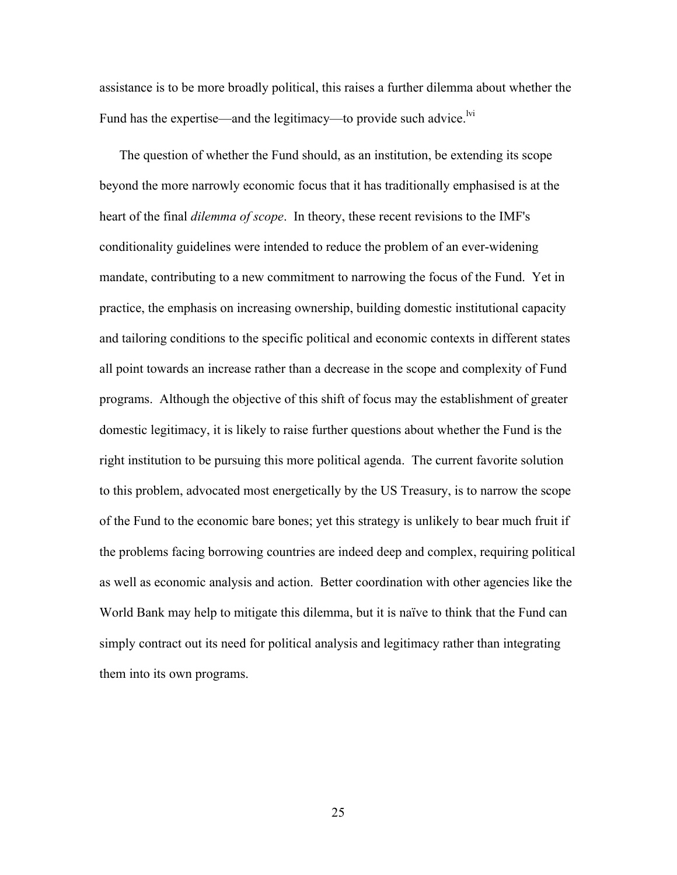assistance is to be more broadly political, this raises a further dilemma about whether the Fund has the expertise—and the legitimacy—to provide such advice.<sup>lvi</sup>

The question of whether the Fund should, as an institution, be extending its scope beyond the more narrowly economic focus that it has traditionally emphasised is at the heart of the final *dilemma of scope*. In theory, these recent revisions to the IMF's conditionality guidelines were intended to reduce the problem of an ever-widening mandate, contributing to a new commitment to narrowing the focus of the Fund. Yet in practice, the emphasis on increasing ownership, building domestic institutional capacity and tailoring conditions to the specific political and economic contexts in different states all point towards an increase rather than a decrease in the scope and complexity of Fund programs. Although the objective of this shift of focus may the establishment of greater domestic legitimacy, it is likely to raise further questions about whether the Fund is the right institution to be pursuing this more political agenda. The current favorite solution to this problem, advocated most energetically by the US Treasury, is to narrow the scope of the Fund to the economic bare bones; yet this strategy is unlikely to bear much fruit if the problems facing borrowing countries are indeed deep and complex, requiring political as well as economic analysis and action. Better coordination with other agencies like the World Bank may help to mitigate this dilemma, but it is naïve to think that the Fund can simply contract out its need for political analysis and legitimacy rather than integrating them into its own programs.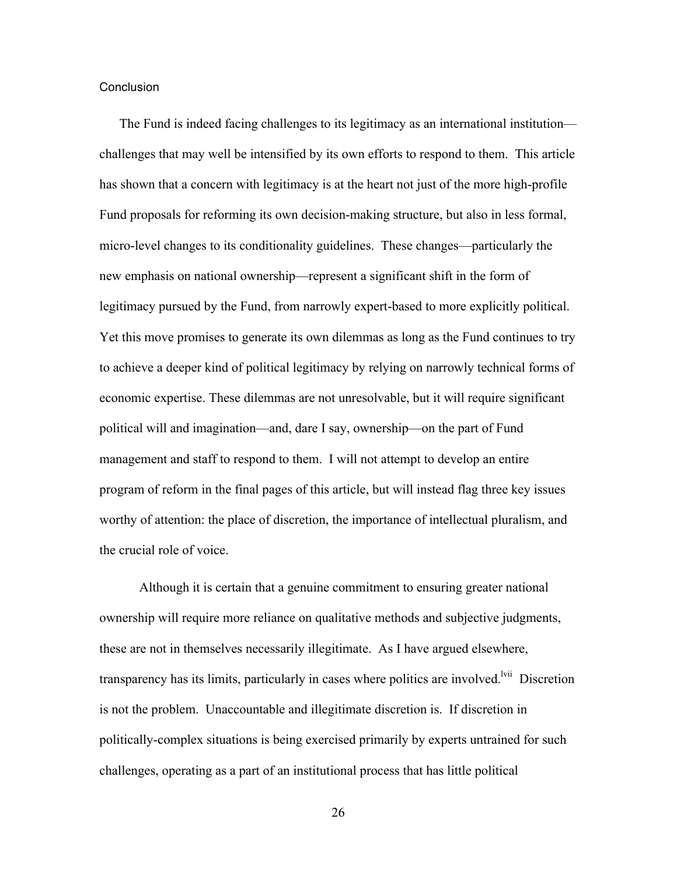#### **Conclusion**

The Fund is indeed facing challenges to its legitimacy as an international institution challenges that may well be intensified by its own efforts to respond to them. This article has shown that a concern with legitimacy is at the heart not just of the more high-profile Fund proposals for reforming its own decision-making structure, but also in less formal, micro-level changes to its conditionality guidelines. These changes—particularly the new emphasis on national ownership—represent a significant shift in the form of legitimacy pursued by the Fund, from narrowly expert-based to more explicitly political. Yet this move promises to generate its own dilemmas as long as the Fund continues to try to achieve a deeper kind of political legitimacy by relying on narrowly technical forms of economic expertise. These dilemmas are not unresolvable, but it will require significant political will and imagination—and, dare I say, ownership—on the part of Fund management and staff to respond to them. I will not attempt to develop an entire program of reform in the final pages of this article, but will instead flag three key issues worthy of attention: the place of discretion, the importance of intellectual pluralism, and the crucial role of voice.

Although it is certain that a genuine commitment to ensuring greater national ownership will require more reliance on qualitative methods and subjective judgments, these are not in themselves necessarily illegitimate. As I have argued elsewhere, transparency has its limits, particularly in cases where politics are involved.<sup>lvii</sup> Discretion is not the problem. Unaccountable and illegitimate discretion is. If discretion in politically-complex situations is being exercised primarily by experts untrained for such challenges, operating as a part of an institutional process that has little political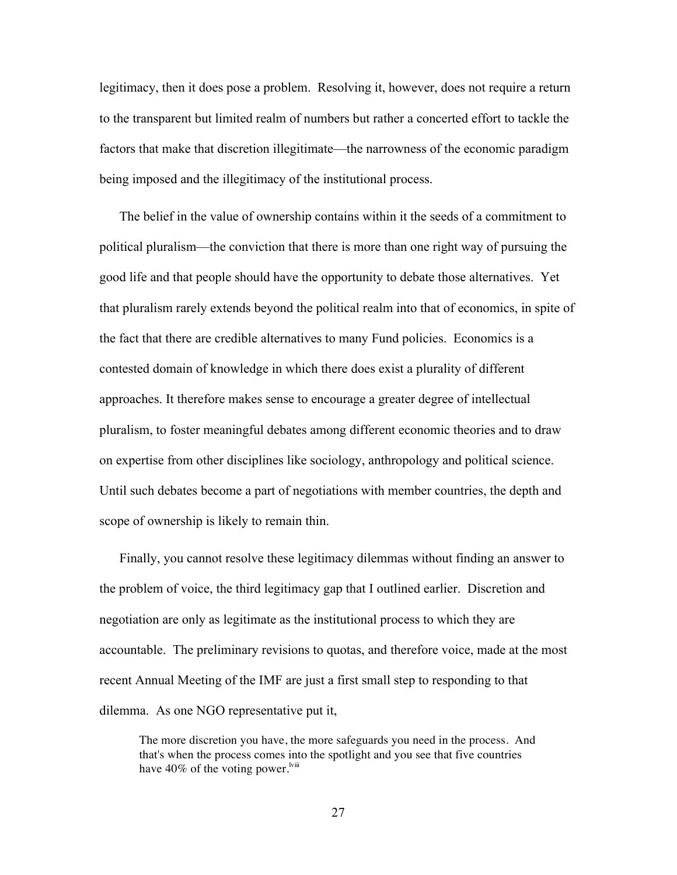legitimacy, then it does pose a problem. Resolving it, however, does not require a return to the transparent but limited realm of numbers but rather a concerted effort to tackle the factors that make that discretion illegitimate—the narrowness of the economic paradigm being imposed and the illegitimacy of the institutional process.

The belief in the value of ownership contains within it the seeds of a commitment to political pluralism—the conviction that there is more than one right way of pursuing the good life and that people should have the opportunity to debate those alternatives. Yet that pluralism rarely extends beyond the political realm into that of economics, in spite of the fact that there are credible alternatives to many Fund policies. Economics is a contested domain of knowledge in which there does exist a plurality of different approaches. It therefore makes sense to encourage a greater degree of intellectual pluralism, to foster meaningful debates among different economic theories and to draw on expertise from other disciplines like sociology, anthropology and political science. Until such debates become a part of negotiations with member countries, the depth and scope of ownership is likely to remain thin.

Finally, you cannot resolve these legitimacy dilemmas without finding an answer to the problem of voice, the third legitimacy gap that I outlined earlier. Discretion and negotiation are only as legitimate as the institutional process to which they are accountable. The preliminary revisions to quotas, and therefore voice, made at the most recent Annual Meeting of the IMF are just a first small step to responding to that dilemma. As one NGO representative put it,

The more discretion you have, the more safeguards you need in the process. And that's when the process comes into the spotlight and you see that five countries have  $40\%$  of the voting power.<sup>Iviii</sup>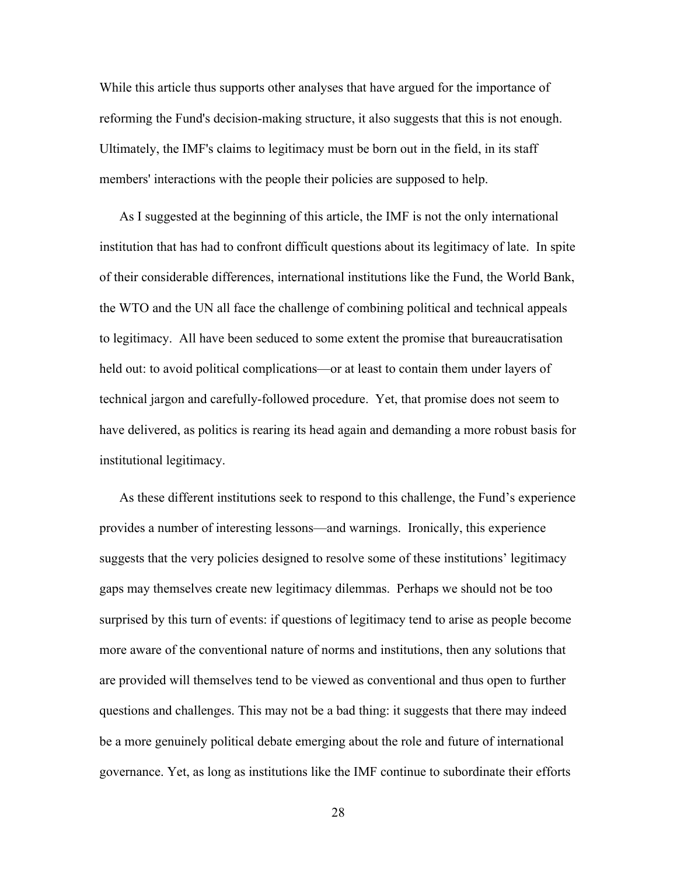While this article thus supports other analyses that have argued for the importance of reforming the Fund's decision-making structure, it also suggests that this is not enough. Ultimately, the IMF's claims to legitimacy must be born out in the field, in its staff members' interactions with the people their policies are supposed to help.

As I suggested at the beginning of this article, the IMF is not the only international institution that has had to confront difficult questions about its legitimacy of late. In spite of their considerable differences, international institutions like the Fund, the World Bank, the WTO and the UN all face the challenge of combining political and technical appeals to legitimacy. All have been seduced to some extent the promise that bureaucratisation held out: to avoid political complications—or at least to contain them under layers of technical jargon and carefully-followed procedure. Yet, that promise does not seem to have delivered, as politics is rearing its head again and demanding a more robust basis for institutional legitimacy.

As these different institutions seek to respond to this challenge, the Fund's experience provides a number of interesting lessons—and warnings. Ironically, this experience suggests that the very policies designed to resolve some of these institutions' legitimacy gaps may themselves create new legitimacy dilemmas. Perhaps we should not be too surprised by this turn of events: if questions of legitimacy tend to arise as people become more aware of the conventional nature of norms and institutions, then any solutions that are provided will themselves tend to be viewed as conventional and thus open to further questions and challenges. This may not be a bad thing: it suggests that there may indeed be a more genuinely political debate emerging about the role and future of international governance. Yet, as long as institutions like the IMF continue to subordinate their efforts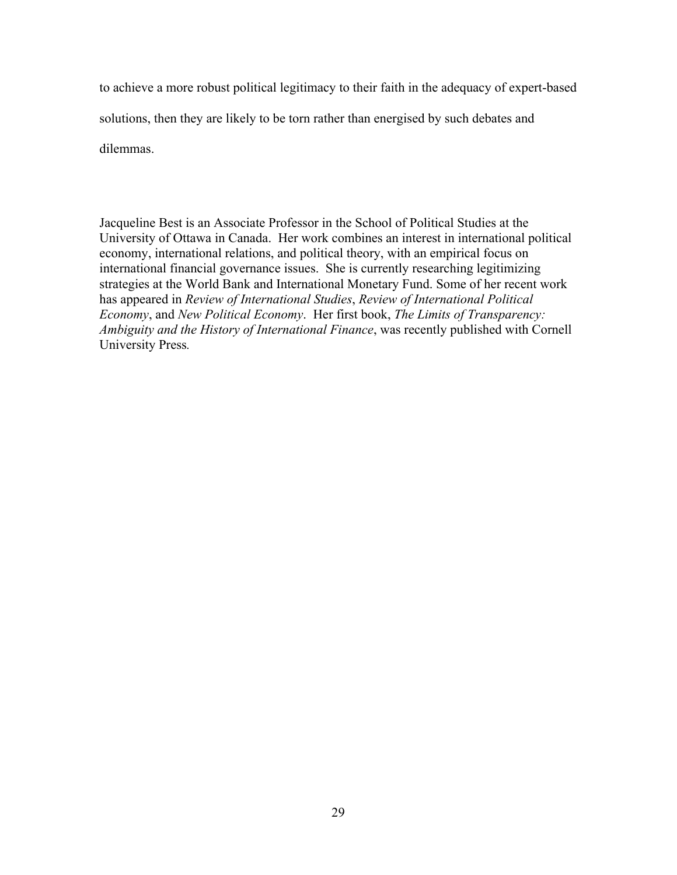to achieve a more robust political legitimacy to their faith in the adequacy of expert-based solutions, then they are likely to be torn rather than energised by such debates and dilemmas.

Jacqueline Best is an Associate Professor in the School of Political Studies at the University of Ottawa in Canada. Her work combines an interest in international political economy, international relations, and political theory, with an empirical focus on international financial governance issues. She is currently researching legitimizing strategies at the World Bank and International Monetary Fund. Some of her recent work has appeared in *Review of International Studies*, *Review of International Political Economy*, and *New Political Economy*. Her first book, *The Limits of Transparency: Ambiguity and the History of International Finance*, was recently published with Cornell University Press*.*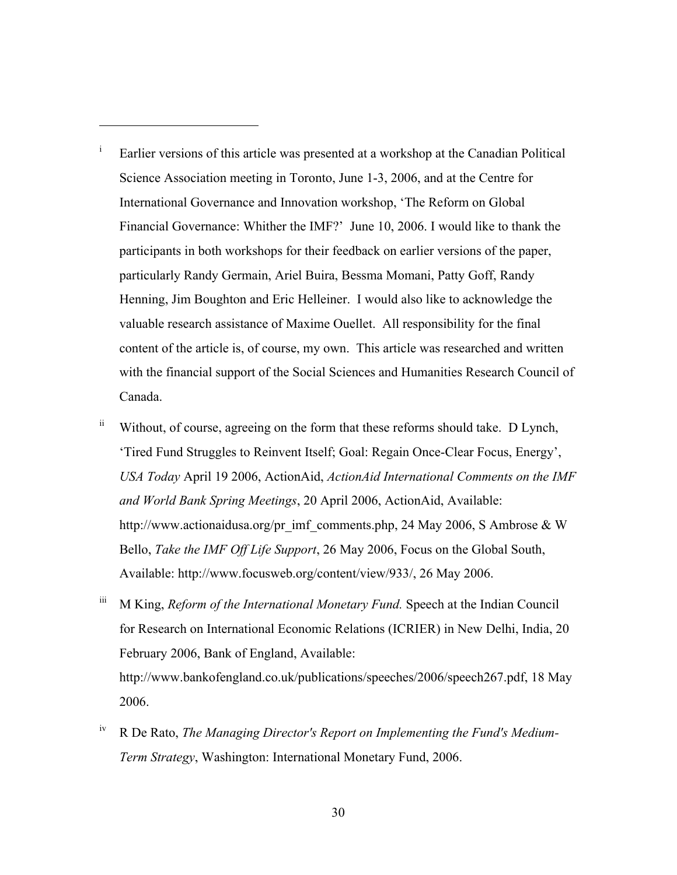<sup>i</sup> Earlier versions of this article was presented at a workshop at the Canadian Political Science Association meeting in Toronto, June 1-3, 2006, and at the Centre for International Governance and Innovation workshop, 'The Reform on Global Financial Governance: Whither the IMF?' June 10, 2006. I would like to thank the participants in both workshops for their feedback on earlier versions of the paper, particularly Randy Germain, Ariel Buira, Bessma Momani, Patty Goff, Randy Henning, Jim Boughton and Eric Helleiner. I would also like to acknowledge the valuable research assistance of Maxime Ouellet. All responsibility for the final content of the article is, of course, my own. This article was researched and written with the financial support of the Social Sciences and Humanities Research Council of Canada.

- $\ddot{a}$  Without, of course, agreeing on the form that these reforms should take. D Lynch, 'Tired Fund Struggles to Reinvent Itself; Goal: Regain Once-Clear Focus, Energy', *USA Today* April 19 2006, ActionAid, *ActionAid International Comments on the IMF and World Bank Spring Meetings*, 20 April 2006, ActionAid, Available: http://www.actionaidusa.org/pr\_imf\_comments.php, 24 May 2006, S Ambrose & W Bello, *Take the IMF Off Life Support*, 26 May 2006, Focus on the Global South, Available: http://www.focusweb.org/content/view/933/, 26 May 2006.
- iii M King, *Reform of the International Monetary Fund.* Speech at the Indian Council for Research on International Economic Relations (ICRIER) in New Delhi, India, 20 February 2006, Bank of England, Available: http://www.bankofengland.co.uk/publications/speeches/2006/speech267.pdf, 18 May 2006.
- iv R De Rato, *The Managing Director's Report on Implementing the Fund's Medium-Term Strategy*, Washington: International Monetary Fund, 2006.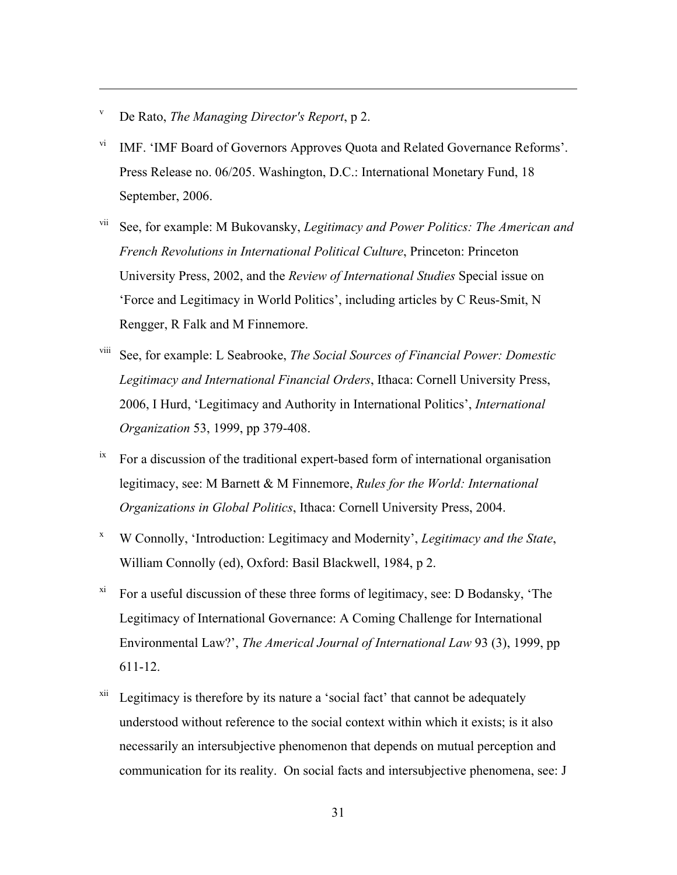<sup>v</sup> De Rato, *The Managing Director's Report*, p 2.

- <sup>vi</sup> IMF. 'IMF Board of Governors Approves Quota and Related Governance Reforms'. Press Release no. 06/205. Washington, D.C.: International Monetary Fund, 18 September, 2006.
- vii See, for example: M Bukovansky, *Legitimacy and Power Politics: The American and French Revolutions in International Political Culture*, Princeton: Princeton University Press, 2002, and the *Review of International Studies* Special issue on 'Force and Legitimacy in World Politics', including articles by C Reus-Smit, N Rengger, R Falk and M Finnemore.
- viii See, for example: L Seabrooke, *The Social Sources of Financial Power: Domestic Legitimacy and International Financial Orders*, Ithaca: Cornell University Press, 2006, I Hurd, 'Legitimacy and Authority in International Politics', *International Organization* 53, 1999, pp 379-408.
- $\mu$ <sup>ix</sup> For a discussion of the traditional expert-based form of international organisation legitimacy, see: M Barnett & M Finnemore, *Rules for the World: International Organizations in Global Politics*, Ithaca: Cornell University Press, 2004.
- <sup>x</sup> W Connolly, 'Introduction: Legitimacy and Modernity', *Legitimacy and the State*, William Connolly (ed), Oxford: Basil Blackwell, 1984, p 2.
- $\frac{x_i}{x_i}$  For a useful discussion of these three forms of legitimacy, see: D Bodansky, 'The Legitimacy of International Governance: A Coming Challenge for International Environmental Law?', *The Americal Journal of International Law* 93 (3), 1999, pp 611-12.
- $xii$  Legitimacy is therefore by its nature a 'social fact' that cannot be adequately understood without reference to the social context within which it exists; is it also necessarily an intersubjective phenomenon that depends on mutual perception and communication for its reality. On social facts and intersubjective phenomena, see: J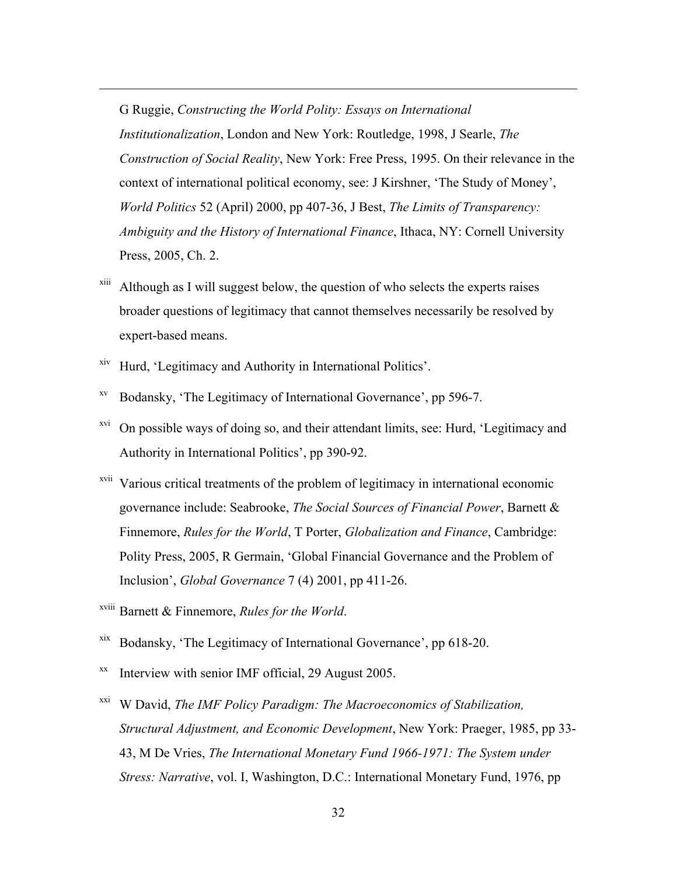G Ruggie, *Constructing the World Polity: Essays on International Institutionalization*, London and New York: Routledge, 1998, J Searle, *The Construction of Social Reality*, New York: Free Press, 1995. On their relevance in the context of international political economy, see: J Kirshner, 'The Study of Money', *World Politics* 52 (April) 2000, pp 407-36, J Best, *The Limits of Transparency: Ambiguity and the History of International Finance*, Ithaca, NY: Cornell University Press, 2005, Ch. 2.

- $x<sub>iii</sub>$  Although as I will suggest below, the question of who selects the experts raises broader questions of legitimacy that cannot themselves necessarily be resolved by expert-based means.
- xiv Hurd, 'Legitimacy and Authority in International Politics'.

- xv Bodansky, 'The Legitimacy of International Governance', pp 596-7.
- $xvi$  On possible ways of doing so, and their attendant limits, see: Hurd, 'Legitimacy and Authority in International Politics', pp 390-92.
- xvii Various critical treatments of the problem of legitimacy in international economic governance include: Seabrooke, *The Social Sources of Financial Power*, Barnett & Finnemore, *Rules for the World*, T Porter, *Globalization and Finance*, Cambridge: Polity Press, 2005, R Germain, 'Global Financial Governance and the Problem of Inclusion', *Global Governance* 7 (4) 2001, pp 411-26.
- xviii Barnett & Finnemore, *Rules for the World*.
- xix Bodansky, 'The Legitimacy of International Governance', pp 618-20.
- $\mu$ <sup>xx</sup> Interview with senior IMF official, 29 August 2005.
- xxi W David, *The IMF Policy Paradigm: The Macroeconomics of Stabilization, Structural Adjustment, and Economic Development*, New York: Praeger, 1985, pp 33- 43, M De Vries, *The International Monetary Fund 1966-1971: The System under Stress: Narrative*, vol. I, Washington, D.C.: International Monetary Fund, 1976, pp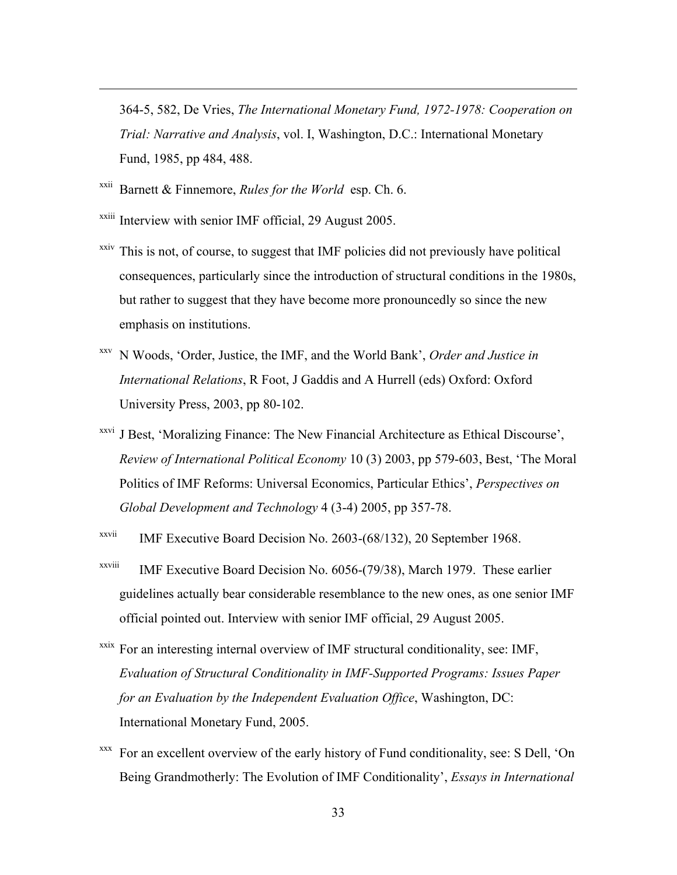364-5, 582, De Vries, *The International Monetary Fund, 1972-1978: Cooperation on Trial: Narrative and Analysis*, vol. I, Washington, D.C.: International Monetary Fund, 1985, pp 484, 488.

 $x^{\text{xii}}$  Barnett & Finnemore, *Rules for the World* esp. Ch. 6.

- xxiii Interview with senior IMF official, 29 August 2005.
- $x<sub>xxiv</sub>$  This is not, of course, to suggest that IMF policies did not previously have political consequences, particularly since the introduction of structural conditions in the 1980s, but rather to suggest that they have become more pronouncedly so since the new emphasis on institutions.
- xxv N Woods, 'Order, Justice, the IMF, and the World Bank', *Order and Justice in International Relations*, R Foot, J Gaddis and A Hurrell (eds) Oxford: Oxford University Press, 2003, pp 80-102.
- <sup>xxvi</sup> J Best, 'Moralizing Finance: The New Financial Architecture as Ethical Discourse', *Review of International Political Economy* 10 (3) 2003, pp 579-603, Best, 'The Moral Politics of IMF Reforms: Universal Economics, Particular Ethics', *Perspectives on Global Development and Technology* 4 (3-4) 2005, pp 357-78.
- $X^{xvii}$  IMF Executive Board Decision No. 2603-(68/132), 20 September 1968.
- $X^{xxViii}$  IMF Executive Board Decision No. 6056-(79/38), March 1979. These earlier guidelines actually bear considerable resemblance to the new ones, as one senior IMF official pointed out. Interview with senior IMF official, 29 August 2005.
- xxix For an interesting internal overview of IMF structural conditionality, see: IMF, *Evaluation of Structural Conditionality in IMF-Supported Programs: Issues Paper for an Evaluation by the Independent Evaluation Office*, Washington, DC: International Monetary Fund, 2005.
- For an excellent overview of the early history of Fund conditionality, see: S Dell, 'On Being Grandmotherly: The Evolution of IMF Conditionality', *Essays in International*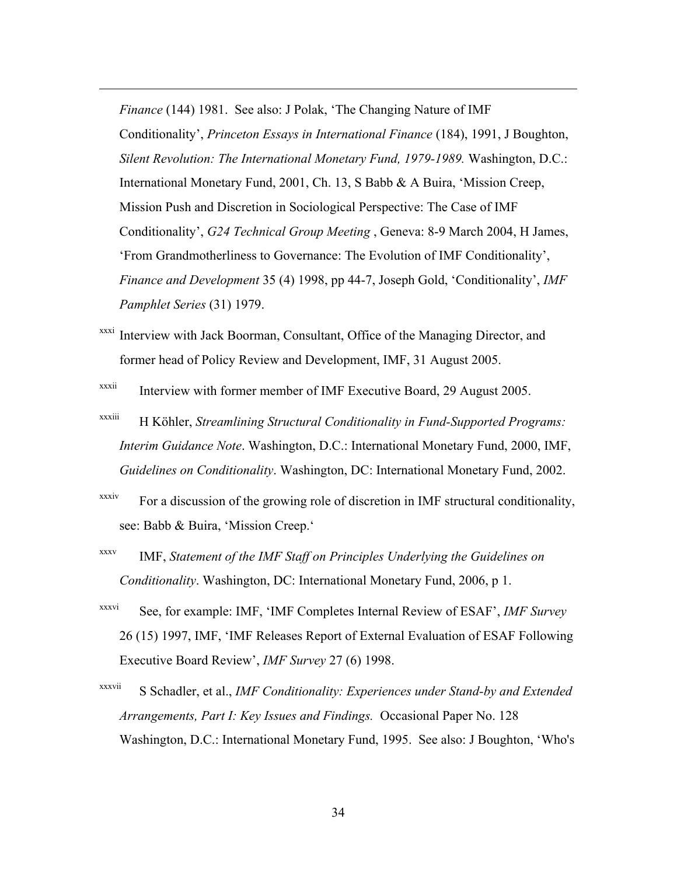*Finance* (144) 1981. See also: J Polak, 'The Changing Nature of IMF Conditionality', *Princeton Essays in International Finance* (184), 1991, J Boughton, *Silent Revolution: The International Monetary Fund, 1979-1989.* Washington, D.C.: International Monetary Fund, 2001, Ch. 13, S Babb & A Buira, 'Mission Creep, Mission Push and Discretion in Sociological Perspective: The Case of IMF Conditionality', *G24 Technical Group Meeting* , Geneva: 8-9 March 2004, H James, 'From Grandmotherliness to Governance: The Evolution of IMF Conditionality', *Finance and Development* 35 (4) 1998, pp 44-7, Joseph Gold, 'Conditionality', *IMF Pamphlet Series* (31) 1979.

- Interview with Jack Boorman, Consultant, Office of the Managing Director, and former head of Policy Review and Development, IMF, 31 August 2005.
- $x$ <sup>xxxii</sup> Interview with former member of IMF Executive Board, 29 August 2005.
- xxxiii H Köhler, *Streamlining Structural Conditionality in Fund-Supported Programs: Interim Guidance Note*. Washington, D.C.: International Monetary Fund, 2000, IMF, *Guidelines on Conditionality*. Washington, DC: International Monetary Fund, 2002.
- $xxxiv$  For a discussion of the growing role of discretion in IMF structural conditionality, see: Babb & Buira, 'Mission Creep.'
- xxxv IMF, *Statement of the IMF Staff on Principles Underlying the Guidelines on Conditionality*. Washington, DC: International Monetary Fund, 2006, p 1.
- xxxvi See, for example: IMF, 'IMF Completes Internal Review of ESAF', *IMF Survey* 26 (15) 1997, IMF, 'IMF Releases Report of External Evaluation of ESAF Following Executive Board Review', *IMF Survey* 27 (6) 1998.
- xxxvii S Schadler, et al., *IMF Conditionality: Experiences under Stand-by and Extended Arrangements, Part I: Key Issues and Findings.* Occasional Paper No. 128 Washington, D.C.: International Monetary Fund, 1995. See also: J Boughton, 'Who's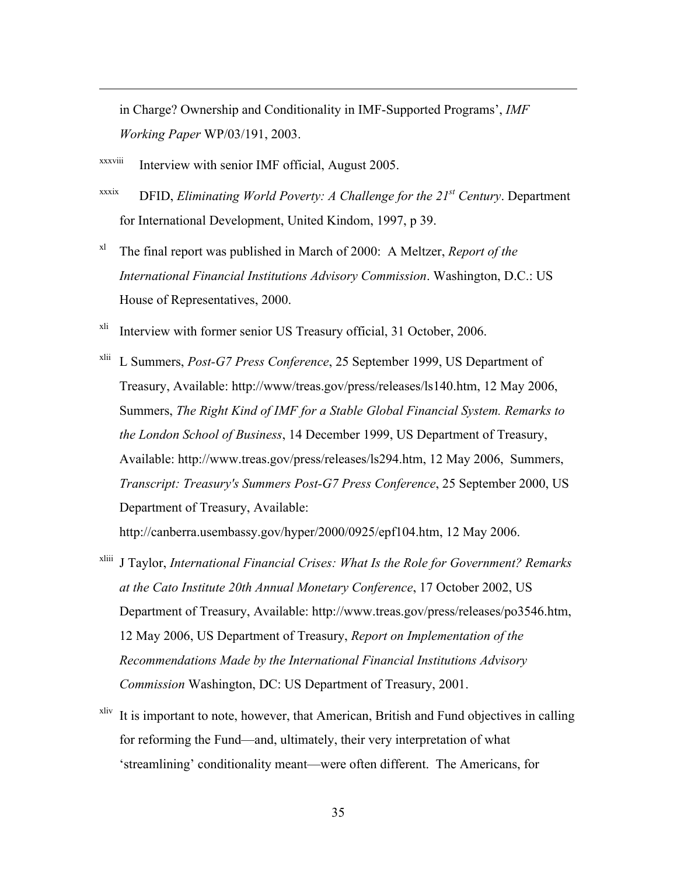in Charge? Ownership and Conditionality in IMF-Supported Programs', *IMF Working Paper* WP/03/191, 2003.

xxxviii Interview with senior IMF official, August 2005.

 $\overline{a}$ 

- $\sum_{x}^{xxix}$  DFID, *Eliminating World Poverty: A Challenge for the 21<sup>st</sup> Century.* Department for International Development, United Kindom, 1997, p 39.
- xl The final report was published in March of 2000: A Meltzer, *Report of the International Financial Institutions Advisory Commission*. Washington, D.C.: US House of Representatives, 2000.
- xli Interview with former senior US Treasury official, 31 October, 2006.
- xlii L Summers, *Post-G7 Press Conference*, 25 September 1999, US Department of Treasury, Available: http://www/treas.gov/press/releases/ls140.htm, 12 May 2006, Summers, *The Right Kind of IMF for a Stable Global Financial System. Remarks to the London School of Business*, 14 December 1999, US Department of Treasury, Available: http://www.treas.gov/press/releases/ls294.htm, 12 May 2006, Summers, *Transcript: Treasury's Summers Post-G7 Press Conference*, 25 September 2000, US Department of Treasury, Available:

http://canberra.usembassy.gov/hyper/2000/0925/epf104.htm, 12 May 2006.

- xliii J Taylor, *International Financial Crises: What Is the Role for Government? Remarks at the Cato Institute 20th Annual Monetary Conference*, 17 October 2002, US Department of Treasury, Available: http://www.treas.gov/press/releases/po3546.htm, 12 May 2006, US Department of Treasury, *Report on Implementation of the Recommendations Made by the International Financial Institutions Advisory Commission* Washington, DC: US Department of Treasury, 2001.
- $x$ liv It is important to note, however, that American, British and Fund objectives in calling for reforming the Fund—and, ultimately, their very interpretation of what 'streamlining' conditionality meant—were often different. The Americans, for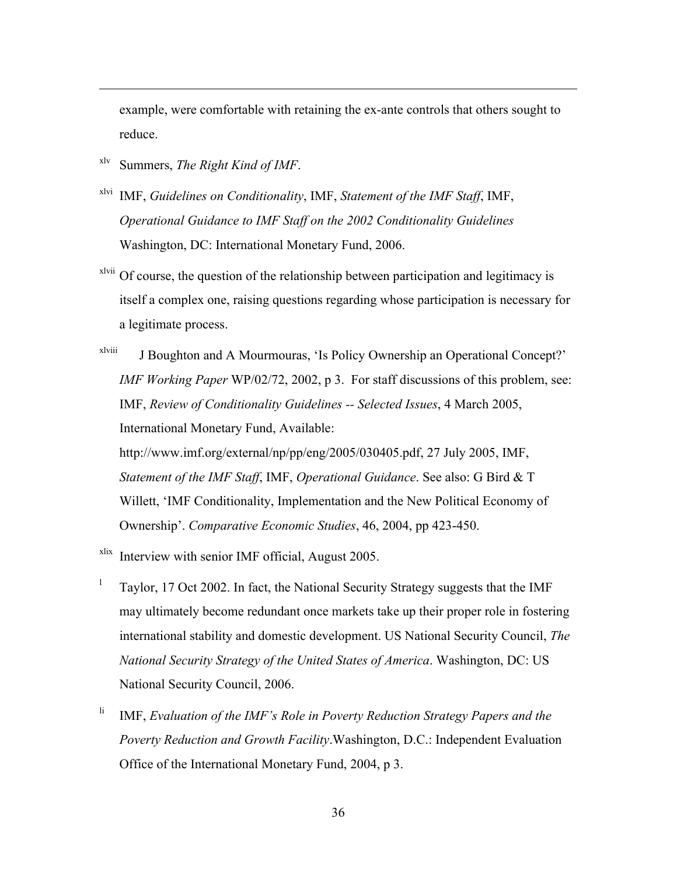example, were comfortable with retaining the ex-ante controls that others sought to reduce.

xlv Summers, *The Right Kind of IMF*.

 $\overline{a}$ 

- xlvi IMF, *Guidelines on Conditionality*, IMF, *Statement of the IMF Staff*, IMF, *Operational Guidance to IMF Staff on the 2002 Conditionality Guidelines* Washington, DC: International Monetary Fund, 2006.
- xlvii Of course, the question of the relationship between participation and legitimacy is itself a complex one, raising questions regarding whose participation is necessary for a legitimate process.
- xlviii J Boughton and A Mourmouras, 'Is Policy Ownership an Operational Concept?' *IMF Working Paper* WP/02/72, 2002, p 3. For staff discussions of this problem, see: IMF, *Review of Conditionality Guidelines -- Selected Issues*, 4 March 2005, International Monetary Fund, Available:

http://www.imf.org/external/np/pp/eng/2005/030405.pdf, 27 July 2005, IMF, *Statement of the IMF Staff*, IMF, *Operational Guidance*. See also: G Bird & T Willett, 'IMF Conditionality, Implementation and the New Political Economy of Ownership'. *Comparative Economic Studies*, 46, 2004, pp 423-450.

- xlix Interview with senior IMF official, August 2005.
- <sup>1</sup> Taylor, 17 Oct 2002. In fact, the National Security Strategy suggests that the IMF may ultimately become redundant once markets take up their proper role in fostering international stability and domestic development. US National Security Council, *The National Security Strategy of the United States of America*. Washington, DC: US National Security Council, 2006.
- <sup>li</sup> IMF, *Evaluation of the IMF's Role in Poverty Reduction Strategy Papers and the Poverty Reduction and Growth Facility*.Washington, D.C.: Independent Evaluation Office of the International Monetary Fund, 2004, p 3.